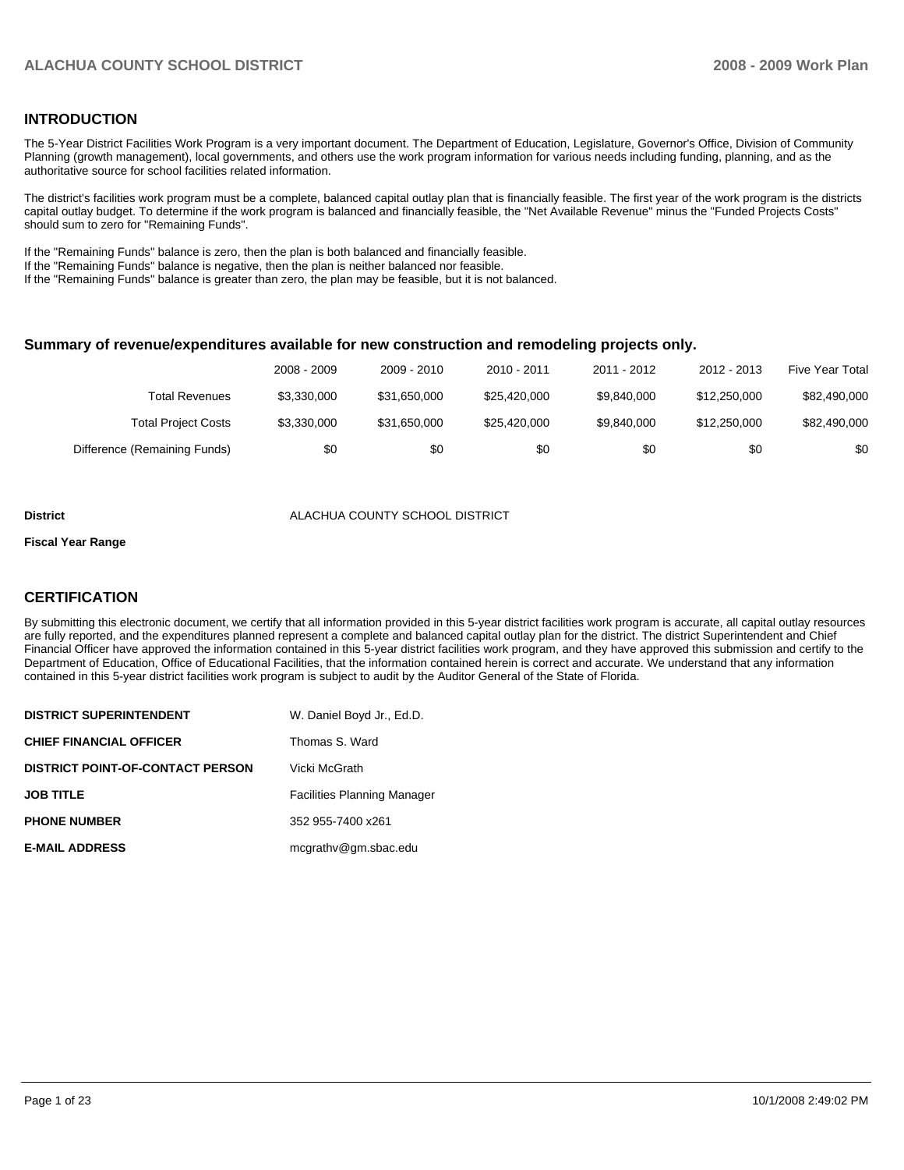#### **INTRODUCTION**

The 5-Year District Facilities Work Program is a very important document. The Department of Education, Legislature, Governor's Office, Division of Community Planning (growth management), local governments, and others use the work program information for various needs including funding, planning, and as the authoritative source for school facilities related information.

 The district's facilities work program must be a complete, balanced capital outlay plan that is financially feasible. The first year of the work program is the districts capital outlay budget. To determine if the work program is balanced and financially feasible, the "Net Available Revenue" minus the "Funded Projects Costs" should sum to zero for "Remaining Funds".

If the "Remaining Funds" balance is zero, then the plan is both balanced and financially feasible.

If the "Remaining Funds" balance is negative, then the plan is neither balanced nor feasible.

If the "Remaining Funds" balance is greater than zero, the plan may be feasible, but it is not balanced.

#### **Summary of revenue/expenditures available for new construction and remodeling projects only.**

|                              | 2008 - 2009 | 2009 - 2010  | 2010 - 2011  | 2011 - 2012 | 2012 - 2013  | Five Year Total |
|------------------------------|-------------|--------------|--------------|-------------|--------------|-----------------|
| Total Revenues               | \$3.330.000 | \$31.650.000 | \$25.420.000 | \$9.840,000 | \$12,250,000 | \$82,490,000    |
| <b>Total Project Costs</b>   | \$3,330,000 | \$31.650.000 | \$25.420.000 | \$9.840,000 | \$12,250,000 | \$82,490,000    |
| Difference (Remaining Funds) | \$0         | \$0          | \$0          | \$0         | \$0          | \$0             |

#### **District** ALACHUA COUNTY SCHOOL DISTRICT

#### **Fiscal Year Range**

#### **CERTIFICATION**

By submitting this electronic document, we certify that all information provided in this 5-year district facilities work program is accurate, all capital outlay resources are fully reported, and the expenditures planned represent a complete and balanced capital outlay plan for the district. The district Superintendent and Chief Financial Officer have approved the information contained in this 5-year district facilities work program, and they have approved this submission and certify to the Department of Education, Office of Educational Facilities, that the information contained herein is correct and accurate. We understand that any information contained in this 5-year district facilities work program is subject to audit by the Auditor General of the State of Florida.

| <b>DISTRICT SUPERINTENDENT</b>          | W. Daniel Boyd Jr., Ed.D.          |
|-----------------------------------------|------------------------------------|
| <b>CHIEF FINANCIAL OFFICER</b>          | Thomas S. Ward                     |
| <b>DISTRICT POINT-OF-CONTACT PERSON</b> | Vicki McGrath                      |
| <b>JOB TITLE</b>                        | <b>Facilities Planning Manager</b> |
| <b>PHONE NUMBER</b>                     | 352 955-7400 x261                  |
| <b>E-MAIL ADDRESS</b>                   | mcgrathy@gm.sbac.edu               |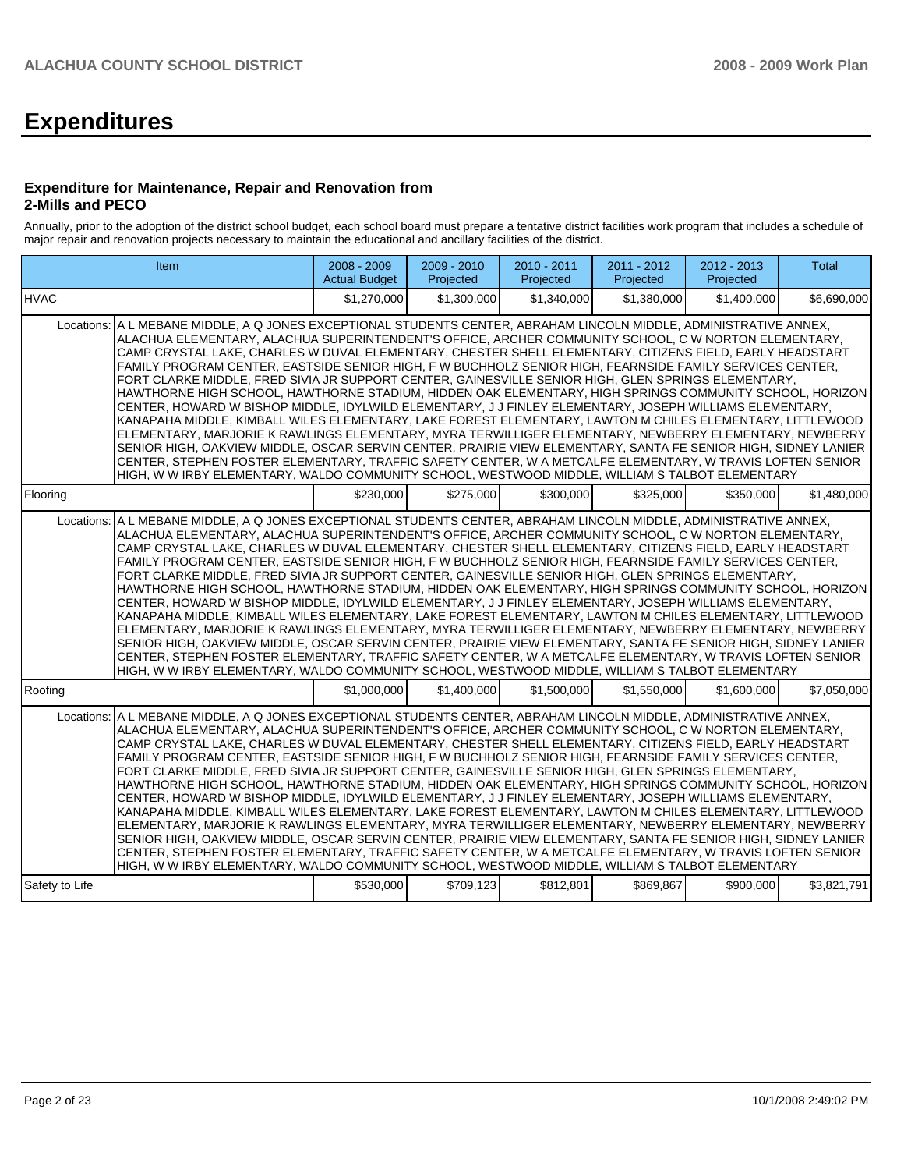# **Expenditures**

#### **Expenditure for Maintenance, Repair and Renovation from 2-Mills and PECO**

Annually, prior to the adoption of the district school budget, each school board must prepare a tentative district facilities work program that includes a schedule of major repair and renovation projects necessary to maintain the educational and ancillary facilities of the district.

| Item                                                                                                                                                                                                                                                                                                                                                                                                                                                                                                                                                                                                                                                                                                                                                                                                                                                                                                                                                                                                                                                                                                                                                                                                                                                                                                                                     | 2008 - 2009<br><b>Actual Budget</b> | 2009 - 2010<br>Projected | 2010 - 2011<br>Projected | 2011 - 2012<br>Projected | $2012 - 2013$<br>Projected | <b>Total</b> |
|------------------------------------------------------------------------------------------------------------------------------------------------------------------------------------------------------------------------------------------------------------------------------------------------------------------------------------------------------------------------------------------------------------------------------------------------------------------------------------------------------------------------------------------------------------------------------------------------------------------------------------------------------------------------------------------------------------------------------------------------------------------------------------------------------------------------------------------------------------------------------------------------------------------------------------------------------------------------------------------------------------------------------------------------------------------------------------------------------------------------------------------------------------------------------------------------------------------------------------------------------------------------------------------------------------------------------------------|-------------------------------------|--------------------------|--------------------------|--------------------------|----------------------------|--------------|
| <b>IHVAC</b>                                                                                                                                                                                                                                                                                                                                                                                                                                                                                                                                                                                                                                                                                                                                                                                                                                                                                                                                                                                                                                                                                                                                                                                                                                                                                                                             | \$1,270,000                         | \$1,300,000              | \$1,340,000              | \$1,380,000              | \$1,400,000                | \$6,690,000  |
| Locations: A L MEBANE MIDDLE, A Q JONES EXCEPTIONAL STUDENTS CENTER, ABRAHAM LINCOLN MIDDLE, ADMINISTRATIVE ANNEX,<br>ALACHUA ELEMENTARY, ALACHUA SUPERINTENDENT'S OFFICE, ARCHER COMMUNITY SCHOOL, C W NORTON ELEMENTARY,<br>CAMP CRYSTAL LAKE, CHARLES W DUVAL ELEMENTARY, CHESTER SHELL ELEMENTARY, CITIZENS FIELD, EARLY HEADSTART<br>FAMILY PROGRAM CENTER, EASTSIDE SENIOR HIGH, FW BUCHHOLZ SENIOR HIGH, FEARNSIDE FAMILY SERVICES CENTER,<br>FORT CLARKE MIDDLE, FRED SIVIA JR SUPPORT CENTER, GAINESVILLE SENIOR HIGH, GLEN SPRINGS ELEMENTARY,<br>HAWTHORNE HIGH SCHOOL, HAWTHORNE STADIUM, HIDDEN OAK ELEMENTARY, HIGH SPRINGS COMMUNITY SCHOOL, HORIZON<br>CENTER, HOWARD W BISHOP MIDDLE, IDYLWILD ELEMENTARY, J J FINLEY ELEMENTARY, JOSEPH WILLIAMS ELEMENTARY,<br>KANAPAHA MIDDLE, KIMBALL WILES ELEMENTARY, LAKE FOREST ELEMENTARY, LAWTON M CHILES ELEMENTARY, LITTLEWOOD<br>ELEMENTARY, MARJORIE K RAWLINGS ELEMENTARY, MYRA TERWILLIGER ELEMENTARY, NEWBERRY ELEMENTARY, NEWBERRY<br>SENIOR HIGH, OAKVIEW MIDDLE, OSCAR SERVIN CENTER, PRAIRIE VIEW ELEMENTARY, SANTA FE SENIOR HIGH, SIDNEY LANIER<br>CENTER, STEPHEN FOSTER ELEMENTARY, TRAFFIC SAFETY CENTER, W A METCALFE ELEMENTARY, W TRAVIS LOFTEN SENIOR<br>HIGH, W W IRBY ELEMENTARY, WALDO COMMUNITY SCHOOL, WESTWOOD MIDDLE, WILLIAM S TALBOT ELEMENTARY  |                                     |                          |                          |                          |                            |              |
| Flooring                                                                                                                                                                                                                                                                                                                                                                                                                                                                                                                                                                                                                                                                                                                                                                                                                                                                                                                                                                                                                                                                                                                                                                                                                                                                                                                                 | \$230,000                           | \$275,000                | \$300,000                | \$325,000                | \$350,000                  | \$1,480,000  |
| Locations: A L MEBANE MIDDLE, A Q JONES EXCEPTIONAL STUDENTS CENTER, ABRAHAM LINCOLN MIDDLE, ADMINISTRATIVE ANNEX,<br>ALACHUA ELEMENTARY, ALACHUA SUPERINTENDENT'S OFFICE, ARCHER COMMUNITY SCHOOL, C W NORTON ELEMENTARY,<br>CAMP CRYSTAL LAKE, CHARLES W DUVAL ELEMENTARY, CHESTER SHELL ELEMENTARY, CITIZENS FIELD, EARLY HEADSTART<br>FAMILY PROGRAM CENTER. EASTSIDE SENIOR HIGH. FW BUCHHOLZ SENIOR HIGH. FEARNSIDE FAMILY SERVICES CENTER.<br>FORT CLARKE MIDDLE, FRED SIVIA JR SUPPORT CENTER, GAINESVILLE SENIOR HIGH, GLEN SPRINGS ELEMENTARY,<br>HAWTHORNE HIGH SCHOOL, HAWTHORNE STADIUM, HIDDEN OAK ELEMENTARY, HIGH SPRINGS COMMUNITY SCHOOL, HORIZON<br>CENTER, HOWARD W BISHOP MIDDLE, IDYLWILD ELEMENTARY, J J FINLEY ELEMENTARY, JOSEPH WILLIAMS ELEMENTARY,<br>KANAPAHA MIDDLE, KIMBALL WILES ELEMENTARY, LAKE FOREST ELEMENTARY, LAWTON M CHILES ELEMENTARY, LITTLEWOOD<br>ELEMENTARY, MARJORIE K RAWLINGS ELEMENTARY, MYRA TERWILLIGER ELEMENTARY, NEWBERRY ELEMENTARY, NEWBERRY<br>SENIOR HIGH, OAKVIEW MIDDLE, OSCAR SERVIN CENTER, PRAIRIE VIEW ELEMENTARY, SANTA FE SENIOR HIGH, SIDNEY LANIER<br>CENTER, STEPHEN FOSTER ELEMENTARY, TRAFFIC SAFETY CENTER, W A METCALFE ELEMENTARY, W TRAVIS LOFTEN SENIOR<br>HIGH, W W IRBY ELEMENTARY, WALDO COMMUNITY SCHOOL, WESTWOOD MIDDLE, WILLIAM S TALBOT ELEMENTARY  |                                     |                          |                          |                          |                            |              |
| Roofing                                                                                                                                                                                                                                                                                                                                                                                                                                                                                                                                                                                                                                                                                                                                                                                                                                                                                                                                                                                                                                                                                                                                                                                                                                                                                                                                  | \$1,000,000                         | \$1,400,000              | \$1,500,000              | \$1,550,000              | \$1,600,000                | \$7,050,000  |
| Locations: A L MEBANE MIDDLE, A Q JONES EXCEPTIONAL STUDENTS CENTER, ABRAHAM LINCOLN MIDDLE, ADMINISTRATIVE ANNEX,<br>ALACHUA ELEMENTARY, ALACHUA SUPERINTENDENT'S OFFICE, ARCHER COMMUNITY SCHOOL, C W NORTON ELEMENTARY,<br>CAMP CRYSTAL LAKE, CHARLES W DUVAL ELEMENTARY, CHESTER SHELL ELEMENTARY, CITIZENS FIELD, EARLY HEADSTART<br>FAMILY PROGRAM CENTER, EASTSIDE SENIOR HIGH, F W BUCHHOLZ SENIOR HIGH, FEARNSIDE FAMILY SERVICES CENTER,<br>FORT CLARKE MIDDLE, FRED SIVIA JR SUPPORT CENTER, GAINESVILLE SENIOR HIGH, GLEN SPRINGS ELEMENTARY,<br>HAWTHORNE HIGH SCHOOL, HAWTHORNE STADIUM, HIDDEN OAK ELEMENTARY, HIGH SPRINGS COMMUNITY SCHOOL, HORIZON<br>CENTER, HOWARD W BISHOP MIDDLE, IDYLWILD ELEMENTARY, J J FINLEY ELEMENTARY, JOSEPH WILLIAMS ELEMENTARY,<br>KANAPAHA MIDDLE, KIMBALL WILES ELEMENTARY, LAKE FOREST ELEMENTARY, LAWTON M CHILES ELEMENTARY, LITTLEWOOD<br>ELEMENTARY, MARJORIE K RAWLINGS ELEMENTARY, MYRA TERWILLIGER ELEMENTARY, NEWBERRY ELEMENTARY, NEWBERRY<br>SENIOR HIGH, OAKVIEW MIDDLE, OSCAR SERVIN CENTER, PRAIRIE VIEW ELEMENTARY, SANTA FE SENIOR HIGH, SIDNEY LANIER<br>CENTER, STEPHEN FOSTER ELEMENTARY, TRAFFIC SAFETY CENTER, W A METCALFE ELEMENTARY, W TRAVIS LOFTEN SENIOR<br>HIGH, W W IRBY ELEMENTARY, WALDO COMMUNITY SCHOOL, WESTWOOD MIDDLE, WILLIAM S TALBOT ELEMENTARY |                                     |                          |                          |                          |                            |              |
| Safety to Life                                                                                                                                                                                                                                                                                                                                                                                                                                                                                                                                                                                                                                                                                                                                                                                                                                                                                                                                                                                                                                                                                                                                                                                                                                                                                                                           | \$530,000                           | \$709,123                | \$812,801                | \$869,867                | \$900,000                  | \$3,821,791  |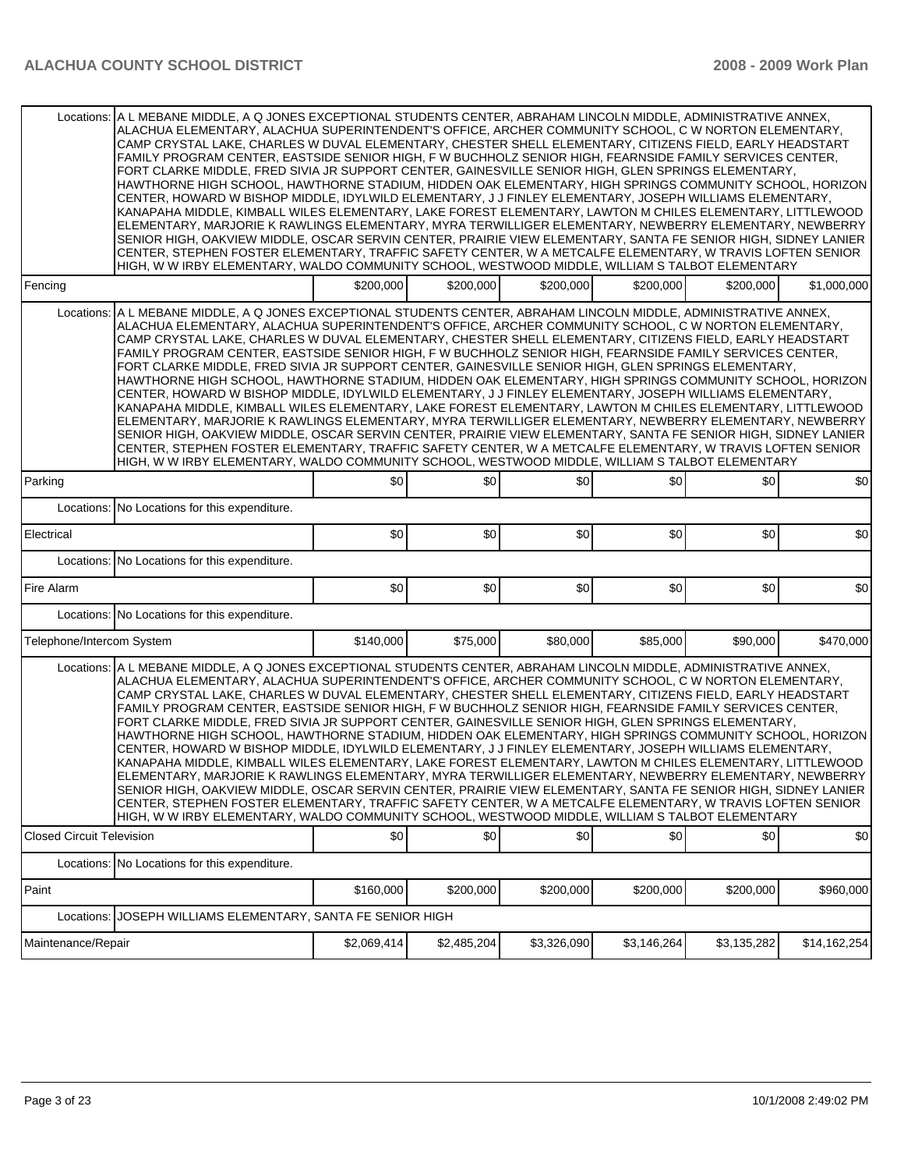|                                  | Locations: A L MEBANE MIDDLE, A Q JONES EXCEPTIONAL STUDENTS CENTER, ABRAHAM LINCOLN MIDDLE, ADMINISTRATIVE ANNEX,<br>ALACHUA ELEMENTARY, ALACHUA SUPERINTENDENT'S OFFICE, ARCHER COMMUNITY SCHOOL, C W NORTON ELEMENTARY,<br>CAMP CRYSTAL LAKE, CHARLES W DUVAL ELEMENTARY, CHESTER SHELL ELEMENTARY, CITIZENS FIELD, EARLY HEADSTART<br>FAMILY PROGRAM CENTER, EASTSIDE SENIOR HIGH, F W BUCHHOLZ SENIOR HIGH, FEARNSIDE FAMILY SERVICES CENTER,<br>FORT CLARKE MIDDLE, FRED SIVIA JR SUPPORT CENTER, GAINESVILLE SENIOR HIGH, GLEN SPRINGS ELEMENTARY,<br>HAWTHORNE HIGH SCHOOL, HAWTHORNE STADIUM, HIDDEN OAK ELEMENTARY, HIGH SPRINGS COMMUNITY SCHOOL, HORIZON<br>CENTER. HOWARD W BISHOP MIDDLE, IDYLWILD ELEMENTARY, J J FINLEY ELEMENTARY, JOSEPH WILLIAMS ELEMENTARY.<br>KANAPAHA MIDDLE, KIMBALL WILES ELEMENTARY, LAKE FOREST ELEMENTARY, LAWTON M CHILES ELEMENTARY, LITTLEWOOD                                                                                                                                                                                                                                                                                                                                                                                                                                             |             |             |             |             |             |              |
|----------------------------------|------------------------------------------------------------------------------------------------------------------------------------------------------------------------------------------------------------------------------------------------------------------------------------------------------------------------------------------------------------------------------------------------------------------------------------------------------------------------------------------------------------------------------------------------------------------------------------------------------------------------------------------------------------------------------------------------------------------------------------------------------------------------------------------------------------------------------------------------------------------------------------------------------------------------------------------------------------------------------------------------------------------------------------------------------------------------------------------------------------------------------------------------------------------------------------------------------------------------------------------------------------------------------------------------------------------------------------------|-------------|-------------|-------------|-------------|-------------|--------------|
|                                  | ELEMENTARY, MARJORIE K RAWLINGS ELEMENTARY, MYRA TERWILLIGER ELEMENTARY, NEWBERRY ELEMENTARY, NEWBERRY<br>SENIOR HIGH, OAKVIEW MIDDLE, OSCAR SERVIN CENTER, PRAIRIE VIEW ELEMENTARY, SANTA FE SENIOR HIGH, SIDNEY LANIER<br>CENTER, STEPHEN FOSTER ELEMENTARY, TRAFFIC SAFETY CENTER, W A METCALFE ELEMENTARY, W TRAVIS LOFTEN SENIOR<br>HIGH, W W IRBY ELEMENTARY, WALDO COMMUNITY SCHOOL, WESTWOOD MIDDLE, WILLIAM S TALBOT ELEMENTARY                                                                                                                                                                                                                                                                                                                                                                                                                                                                                                                                                                                                                                                                                                                                                                                                                                                                                                 |             |             |             |             |             |              |
| Fencing                          |                                                                                                                                                                                                                                                                                                                                                                                                                                                                                                                                                                                                                                                                                                                                                                                                                                                                                                                                                                                                                                                                                                                                                                                                                                                                                                                                          | \$200,000   | \$200,000   | \$200,000   | \$200,000   | \$200,000   | \$1,000,000  |
| Locations:                       | A LIMEBANE MIDDLE, A Q JONES EXCEPTIONAL STUDENTS CENTER, ABRAHAM LINCOLN MIDDLE, ADMINISTRATIVE ANNEX,<br>ALACHUA ELEMENTARY, ALACHUA SUPERINTENDENT'S OFFICE, ARCHER COMMUNITY SCHOOL, C W NORTON ELEMENTARY,<br>CAMP CRYSTAL LAKE, CHARLES W DUVAL ELEMENTARY, CHESTER SHELL ELEMENTARY, CITIZENS FIELD, EARLY HEADSTART<br>FAMILY PROGRAM CENTER, EASTSIDE SENIOR HIGH, F W BUCHHOLZ SENIOR HIGH, FEARNSIDE FAMILY SERVICES CENTER,<br>FORT CLARKE MIDDLE, FRED SIVIA JR SUPPORT CENTER, GAINESVILLE SENIOR HIGH, GLEN SPRINGS ELEMENTARY,<br>HAWTHORNE HIGH SCHOOL, HAWTHORNE STADIUM, HIDDEN OAK ELEMENTARY, HIGH SPRINGS COMMUNITY SCHOOL, HORIZON<br>CENTER, HOWARD W BISHOP MIDDLE, IDYLWILD ELEMENTARY, J J FINLEY ELEMENTARY, JOSEPH WILLIAMS ELEMENTARY,<br>KANAPAHA MIDDLE, KIMBALL WILES ELEMENTARY, LAKE FOREST ELEMENTARY, LAWTON M CHILES ELEMENTARY, LITTLEWOOD<br>ELEMENTARY, MARJORIE K RAWLINGS ELEMENTARY, MYRA TERWILLIGER ELEMENTARY, NEWBERRY ELEMENTARY, NEWBERRY<br>SENIOR HIGH, OAKVIEW MIDDLE, OSCAR SERVIN CENTER, PRAIRIE VIEW ELEMENTARY, SANTA FE SENIOR HIGH, SIDNEY LANIER<br>CENTER, STEPHEN FOSTER ELEMENTARY, TRAFFIC SAFETY CENTER, W A METCALFE ELEMENTARY, W TRAVIS LOFTEN SENIOR<br>HIGH, W W IRBY ELEMENTARY, WALDO COMMUNITY SCHOOL, WESTWOOD MIDDLE, WILLIAM S TALBOT ELEMENTARY            |             |             |             |             |             |              |
| Parking                          |                                                                                                                                                                                                                                                                                                                                                                                                                                                                                                                                                                                                                                                                                                                                                                                                                                                                                                                                                                                                                                                                                                                                                                                                                                                                                                                                          | \$0         | \$0         | \$0         | \$0         | \$0         | \$0          |
|                                  | Locations: No Locations for this expenditure.                                                                                                                                                                                                                                                                                                                                                                                                                                                                                                                                                                                                                                                                                                                                                                                                                                                                                                                                                                                                                                                                                                                                                                                                                                                                                            |             |             |             |             |             |              |
| Electrical                       |                                                                                                                                                                                                                                                                                                                                                                                                                                                                                                                                                                                                                                                                                                                                                                                                                                                                                                                                                                                                                                                                                                                                                                                                                                                                                                                                          | \$0         | \$0         | \$0         | \$0         | \$0         | \$0          |
|                                  | Locations: No Locations for this expenditure.                                                                                                                                                                                                                                                                                                                                                                                                                                                                                                                                                                                                                                                                                                                                                                                                                                                                                                                                                                                                                                                                                                                                                                                                                                                                                            |             |             |             |             |             |              |
| Fire Alarm                       |                                                                                                                                                                                                                                                                                                                                                                                                                                                                                                                                                                                                                                                                                                                                                                                                                                                                                                                                                                                                                                                                                                                                                                                                                                                                                                                                          | \$0         | \$0         | \$0         | \$0         | \$0         | \$0          |
|                                  | Locations: No Locations for this expenditure.                                                                                                                                                                                                                                                                                                                                                                                                                                                                                                                                                                                                                                                                                                                                                                                                                                                                                                                                                                                                                                                                                                                                                                                                                                                                                            |             |             |             |             |             |              |
| Telephone/Intercom System        |                                                                                                                                                                                                                                                                                                                                                                                                                                                                                                                                                                                                                                                                                                                                                                                                                                                                                                                                                                                                                                                                                                                                                                                                                                                                                                                                          | \$140,000   | \$75,000    | \$80,000    | \$85,000    | \$90,000    | \$470,000    |
|                                  | Locations: A L MEBANE MIDDLE, A Q JONES EXCEPTIONAL STUDENTS CENTER, ABRAHAM LINCOLN MIDDLE, ADMINISTRATIVE ANNEX,<br>ALACHUA ELEMENTARY. ALACHUA SUPERINTENDENT'S OFFICE. ARCHER COMMUNITY SCHOOL. C W NORTON ELEMENTARY.<br>CAMP CRYSTAL LAKE, CHARLES W DUVAL ELEMENTARY, CHESTER SHELL ELEMENTARY, CITIZENS FIELD, EARLY HEADSTART<br>FAMILY PROGRAM CENTER, EASTSIDE SENIOR HIGH, F W BUCHHOLZ SENIOR HIGH, FEARNSIDE FAMILY SERVICES CENTER,<br>FORT CLARKE MIDDLE, FRED SIVIA JR SUPPORT CENTER, GAINESVILLE SENIOR HIGH, GLEN SPRINGS ELEMENTARY,<br>HAWTHORNE HIGH SCHOOL, HAWTHORNE STADIUM, HIDDEN OAK ELEMENTARY, HIGH SPRINGS COMMUNITY SCHOOL, HORIZON<br>CENTER, HOWARD W BISHOP MIDDLE, IDYLWILD ELEMENTARY, J J FINLEY ELEMENTARY, JOSEPH WILLIAMS ELEMENTARY,<br>KANAPAHA MIDDLE, KIMBALL WILES ELEMENTARY, LAKE FOREST ELEMENTARY, LAWTON M CHILES ELEMENTARY, LITTLEWOOD<br>ELEMENTARY, MARJORIE K RAWLINGS ELEMENTARY, MYRA TERWILLIGER ELEMENTARY, NEWBERRY ELEMENTARY, NEWBERRY<br>SENIOR HIGH, OAKVIEW MIDDLE, OSCAR SERVIN CENTER, PRAIRIE VIEW ELEMENTARY, SANTA FE SENIOR HIGH, SIDNEY LANIER<br>CENTER, STEPHEN FOSTER ELEMENTARY, TRAFFIC SAFETY CENTER, W A METCALFE ELEMENTARY, W TRAVIS LOFTEN SENIOR<br>HIGH, W W IRBY ELEMENTARY, WALDO COMMUNITY SCHOOL, WESTWOOD MIDDLE, WILLIAM S TALBOT ELEMENTARY |             |             |             |             |             |              |
| <b>Closed Circuit Television</b> |                                                                                                                                                                                                                                                                                                                                                                                                                                                                                                                                                                                                                                                                                                                                                                                                                                                                                                                                                                                                                                                                                                                                                                                                                                                                                                                                          | \$0         | \$0         | \$0         | \$0         | \$0         | \$0          |
|                                  | Locations: No Locations for this expenditure.                                                                                                                                                                                                                                                                                                                                                                                                                                                                                                                                                                                                                                                                                                                                                                                                                                                                                                                                                                                                                                                                                                                                                                                                                                                                                            |             |             |             |             |             |              |
| Paint                            |                                                                                                                                                                                                                                                                                                                                                                                                                                                                                                                                                                                                                                                                                                                                                                                                                                                                                                                                                                                                                                                                                                                                                                                                                                                                                                                                          | \$160,000   | \$200,000   | \$200,000   | \$200,000   | \$200,000   | \$960,000    |
| Locations:                       | JOSEPH WILLIAMS ELEMENTARY, SANTA FE SENIOR HIGH                                                                                                                                                                                                                                                                                                                                                                                                                                                                                                                                                                                                                                                                                                                                                                                                                                                                                                                                                                                                                                                                                                                                                                                                                                                                                         |             |             |             |             |             |              |
| Maintenance/Repair               |                                                                                                                                                                                                                                                                                                                                                                                                                                                                                                                                                                                                                                                                                                                                                                                                                                                                                                                                                                                                                                                                                                                                                                                                                                                                                                                                          | \$2,069,414 | \$2,485,204 | \$3,326,090 | \$3,146,264 | \$3,135,282 | \$14,162,254 |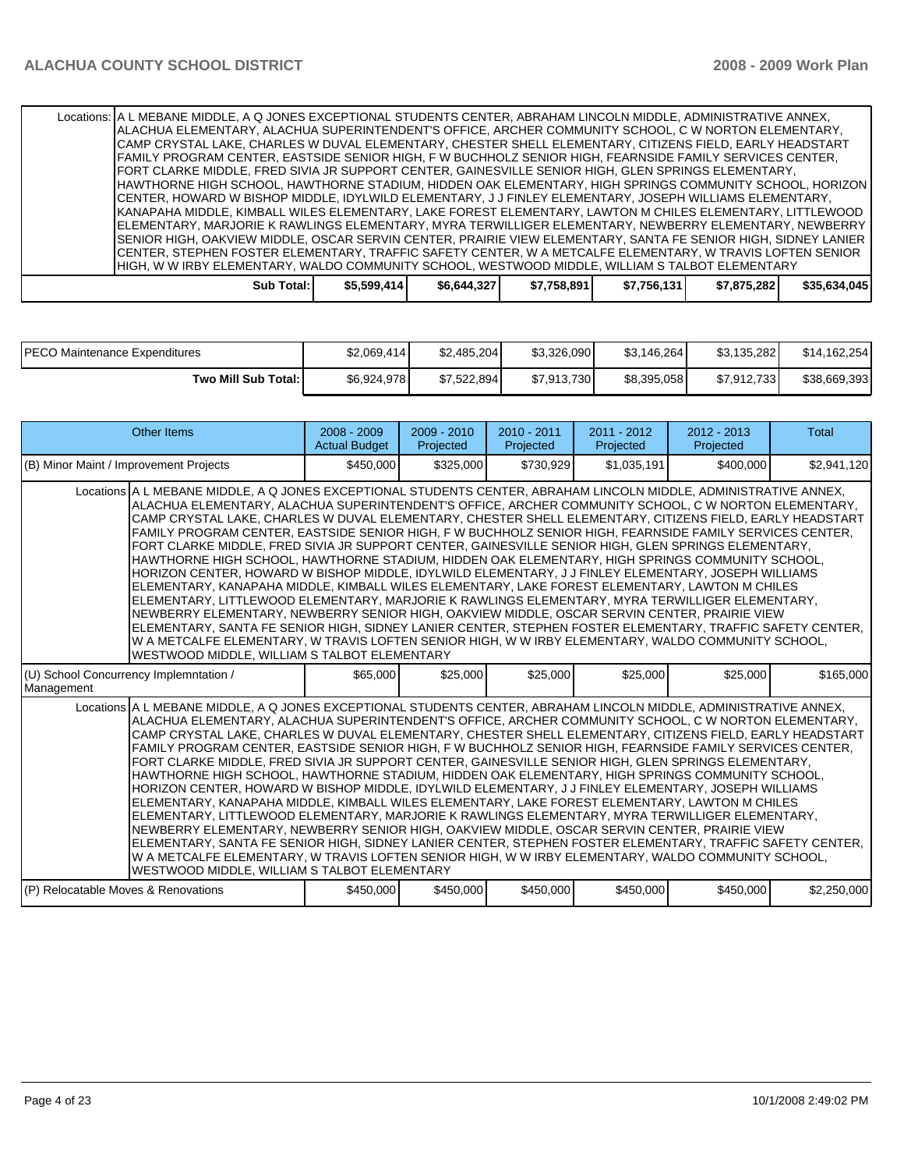| Locations: A L MEBANE MIDDLE, A Q JONES EXCEPTIONAL STUDENTS CENTER, ABRAHAM LINCOLN MIDDLE, ADMINISTRATIVE ANNEX, |              |             |             |             |             |              |
|--------------------------------------------------------------------------------------------------------------------|--------------|-------------|-------------|-------------|-------------|--------------|
| ALACHUA ELEMENTARY, ALACHUA SUPERINTENDENT'S OFFICE, ARCHER COMMUNITY SCHOOL. C W NORTON ELEMENTARY.               |              |             |             |             |             |              |
| CAMP CRYSTAL LAKE, CHARLES W DUVAL ELEMENTARY, CHESTER SHELL ELEMENTARY, CITIZENS FIELD, EARLY HEADSTART           |              |             |             |             |             |              |
| FAMILY PROGRAM CENTER. EASTSIDE SENIOR HIGH. F W BUCHHOLZ SENIOR HIGH. FEARNSIDE FAMILY SERVICES CENTER.           |              |             |             |             |             |              |
| FORT CLARKE MIDDLE, FRED SIVIA JR SUPPORT CENTER, GAINESVILLE SENIOR HIGH, GLEN SPRINGS ELEMENTARY,                |              |             |             |             |             |              |
| HAWTHORNE HIGH SCHOOL, HAWTHORNE STADIUM, HIDDEN OAK ELEMENTARY, HIGH SPRINGS COMMUNITY SCHOOL, HORIZON            |              |             |             |             |             |              |
| CENTER, HOWARD W BISHOP MIDDLE, IDYLWILD ELEMENTARY, J J FINLEY ELEMENTARY, JOSEPH WILLIAMS ELEMENTARY,            |              |             |             |             |             |              |
| KANAPAHA MIDDLE, KIMBALL WILES ELEMENTARY, LAKE FOREST ELEMENTARY, LAWTON M CHILES ELEMENTARY, LITTLEWOOD          |              |             |             |             |             |              |
| ELEMENTARY, MARJORIE K RAWLINGS ELEMENTARY, MYRA TERWILLIGER ELEMENTARY, NEWBERRY ELEMENTARY, NEWBERRY             |              |             |             |             |             |              |
| SENIOR HIGH, OAKVIEW MIDDLE, OSCAR SERVIN CENTER, PRAIRIE VIEW ELEMENTARY, SANTA FE SENIOR HIGH, SIDNEY LANIER     |              |             |             |             |             |              |
| İCENTER, STEPHEN FOSTER ELEMENTARY, TRAFFIC SAFETY CENTER, W A METCALFE ELEMENTARY, W TRAVIS LOFTEN SENIOR         |              |             |             |             |             |              |
| HIGH. W W IRBY ELEMENTARY, WALDO COMMUNITY SCHOOL, WESTWOOD MIDDLE, WILLIAM S TALBOT ELEMENTARY                    |              |             |             |             |             |              |
| Sub Total: I                                                                                                       | \$5,599,414] | \$6,644,327 | \$7,758,891 | \$7,756,131 | \$7,875,282 | \$35,634,045 |

| <b>PECO Maintenance Expenditures</b> | \$2.069.414 | \$2.485.204 | \$3.326.090 | \$3.146.264 | \$3.135.282 | \$14,162,254 |
|--------------------------------------|-------------|-------------|-------------|-------------|-------------|--------------|
| Two Mill Sub Total:                  | \$6,924,978 | \$7.522.894 | \$7,913,730 | \$8,395,058 | \$7,912,733 | \$38,669,393 |

| Other Items                                                                                                                                                                                                                                                                                                                                                                                                                                                                                                                                                                                                                                                                                                                                                                                                                                                                                                                                                                                                                                                                                                                                                                                                                                                                                                                                | $2008 - 2009$<br><b>Actual Budget</b> | $2009 - 2010$<br>Projected | $2010 - 2011$<br>Projected | 2011 - 2012<br>Projected | $2012 - 2013$<br>Projected | Total       |  |  |
|--------------------------------------------------------------------------------------------------------------------------------------------------------------------------------------------------------------------------------------------------------------------------------------------------------------------------------------------------------------------------------------------------------------------------------------------------------------------------------------------------------------------------------------------------------------------------------------------------------------------------------------------------------------------------------------------------------------------------------------------------------------------------------------------------------------------------------------------------------------------------------------------------------------------------------------------------------------------------------------------------------------------------------------------------------------------------------------------------------------------------------------------------------------------------------------------------------------------------------------------------------------------------------------------------------------------------------------------|---------------------------------------|----------------------------|----------------------------|--------------------------|----------------------------|-------------|--|--|
| (B) Minor Maint / Improvement Projects                                                                                                                                                                                                                                                                                                                                                                                                                                                                                                                                                                                                                                                                                                                                                                                                                                                                                                                                                                                                                                                                                                                                                                                                                                                                                                     | \$450,000                             | \$325,000                  | \$730,929                  | \$1,035,191              | \$400,000                  | \$2,941,120 |  |  |
| Locations A L MEBANE MIDDLE, A Q JONES EXCEPTIONAL STUDENTS CENTER, ABRAHAM LINCOLN MIDDLE, ADMINISTRATIVE ANNEX,<br>ALACHUA ELEMENTARY, ALACHUA SUPERINTENDENT'S OFFICE, ARCHER COMMUNITY SCHOOL, C W NORTON ELEMENTARY,<br>CAMP CRYSTAL LAKE, CHARLES W DUVAL ELEMENTARY, CHESTER SHELL ELEMENTARY, CITIZENS FIELD, EARLY HEADSTART<br>FAMILY PROGRAM CENTER, EASTSIDE SENIOR HIGH, F W BUCHHOLZ SENIOR HIGH, FEARNSIDE FAMILY SERVICES CENTER,<br>FORT CLARKE MIDDLE, FRED SIVIA JR SUPPORT CENTER, GAINESVILLE SENIOR HIGH, GLEN SPRINGS ELEMENTARY,<br>HAWTHORNE HIGH SCHOOL. HAWTHORNE STADIUM. HIDDEN OAK ELEMENTARY. HIGH SPRINGS COMMUNITY SCHOOL.<br>HORIZON CENTER, HOWARD W BISHOP MIDDLE, IDYLWILD ELEMENTARY, J J FINLEY ELEMENTARY, JOSEPH WILLIAMS<br>ELEMENTARY, KANAPAHA MIDDLE, KIMBALL WILES ELEMENTARY, LAKE FOREST ELEMENTARY, LAWTON M CHILES<br>ELEMENTARY, LITTLEWOOD ELEMENTARY, MARJORIE K RAWLINGS ELEMENTARY, MYRA TERWILLIGER ELEMENTARY,<br>NEWBERRY ELEMENTARY, NEWBERRY SENIOR HIGH, OAKVIEW MIDDLE, OSCAR SERVIN CENTER, PRAIRIE VIEW<br>ELEMENTARY, SANTA FE SENIOR HIGH, SIDNEY LANIER CENTER, STEPHEN FOSTER ELEMENTARY, TRAFFIC SAFETY CENTER,<br>W A METCALFE ELEMENTARY, W TRAVIS LOFTEN SENIOR HIGH, W W IRBY ELEMENTARY, WALDO COMMUNITY SCHOOL,<br>WESTWOOD MIDDLE, WILLIAM S TALBOT ELEMENTARY |                                       |                            |                            |                          |                            |             |  |  |
| (U) School Concurrency Implemntation /<br>Management                                                                                                                                                                                                                                                                                                                                                                                                                                                                                                                                                                                                                                                                                                                                                                                                                                                                                                                                                                                                                                                                                                                                                                                                                                                                                       | \$65,000                              | \$25,000                   | \$25,000                   | \$25,000                 | \$25,000                   | \$165,000   |  |  |
| Locations A L MEBANE MIDDLE, A Q JONES EXCEPTIONAL STUDENTS CENTER, ABRAHAM LINCOLN MIDDLE, ADMINISTRATIVE ANNEX,<br>ALACHUA ELEMENTARY, ALACHUA SUPERINTENDENT'S OFFICE, ARCHER COMMUNITY SCHOOL, C W NORTON ELEMENTARY,<br>CAMP CRYSTAL LAKE, CHARLES W DUVAL ELEMENTARY, CHESTER SHELL ELEMENTARY, CITIZENS FIELD, EARLY HEADSTART<br>FAMILY PROGRAM CENTER, EASTSIDE SENIOR HIGH, F W BUCHHOLZ SENIOR HIGH, FEARNSIDE FAMILY SERVICES CENTER,<br>FORT CLARKE MIDDLE, FRED SIVIA JR SUPPORT CENTER, GAINESVILLE SENIOR HIGH, GLEN SPRINGS ELEMENTARY,<br>HAWTHORNE HIGH SCHOOL, HAWTHORNE STADIUM, HIDDEN OAK ELEMENTARY, HIGH SPRINGS COMMUNITY SCHOOL,<br>HORIZON CENTER, HOWARD W BISHOP MIDDLE, IDYLWILD ELEMENTARY, J J FINLEY ELEMENTARY, JOSEPH WILLIAMS<br>ELEMENTARY, KANAPAHA MIDDLE, KIMBALL WILES ELEMENTARY, LAKE FOREST ELEMENTARY, LAWTON M CHILES<br>ELEMENTARY. LITTLEWOOD ELEMENTARY. MARJORIE K RAWLINGS ELEMENTARY. MYRA TERWILLIGER ELEMENTARY.<br>NEWBERRY ELEMENTARY, NEWBERRY SENIOR HIGH, OAKVIEW MIDDLE, OSCAR SERVIN CENTER, PRAIRIE VIEW<br>ELEMENTARY, SANTA FE SENIOR HIGH, SIDNEY LANIER CENTER, STEPHEN FOSTER ELEMENTARY, TRAFFIC SAFETY CENTER,<br>W A METCALFE ELEMENTARY, W TRAVIS LOFTEN SENIOR HIGH, W W IRBY ELEMENTARY, WALDO COMMUNITY SCHOOL,<br>WESTWOOD MIDDLE, WILLIAM S TALBOT ELEMENTARY |                                       |                            |                            |                          |                            |             |  |  |
| (P) Relocatable Moves & Renovations                                                                                                                                                                                                                                                                                                                                                                                                                                                                                                                                                                                                                                                                                                                                                                                                                                                                                                                                                                                                                                                                                                                                                                                                                                                                                                        |                                       |                            |                            |                          |                            |             |  |  |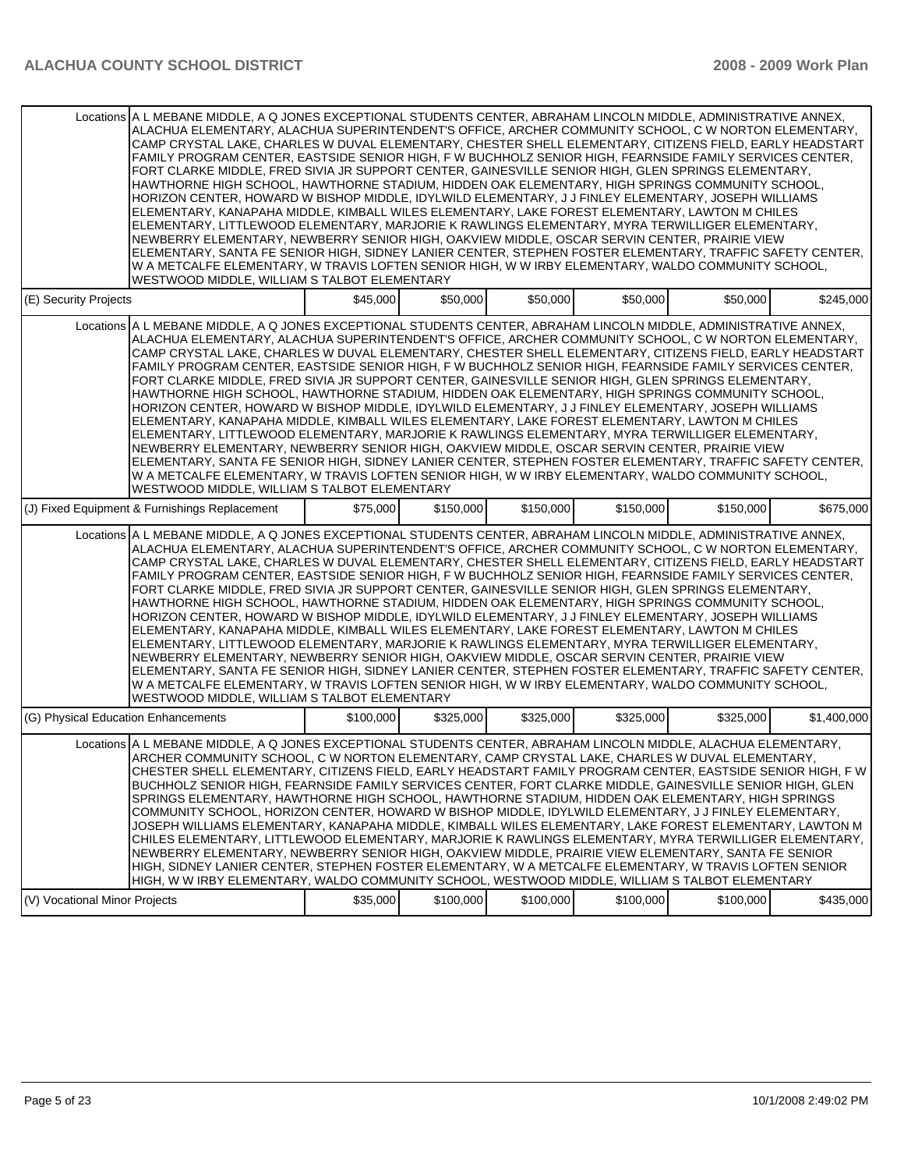|                                                                                                                                                                                                                                                                                                                                                                                                                                                                                                                                                                                                                                                                                                                                                                                                                                                                                                                                                                                                                                                                                                                                                                                                                                                                                                                                            | Locations A L MEBANE MIDDLE, A Q JONES EXCEPTIONAL STUDENTS CENTER, ABRAHAM LINCOLN MIDDLE, ADMINISTRATIVE ANNEX,<br>ALACHUA ELEMENTARY, ALACHUA SUPERINTENDENT'S OFFICE, ARCHER COMMUNITY SCHOOL, C W NORTON ELEMENTARY,<br>CAMP CRYSTAL LAKE, CHARLES W DUVAL ELEMENTARY, CHESTER SHELL ELEMENTARY, CITIZENS FIELD, EARLY HEADSTART<br>FAMILY PROGRAM CENTER, EASTSIDE SENIOR HIGH, F W BUCHHOLZ SENIOR HIGH, FEARNSIDE FAMILY SERVICES CENTER,<br>FORT CLARKE MIDDLE, FRED SIVIA JR SUPPORT CENTER, GAINESVILLE SENIOR HIGH, GLEN SPRINGS ELEMENTARY,<br>HAWTHORNE HIGH SCHOOL, HAWTHORNE STADIUM, HIDDEN OAK ELEMENTARY, HIGH SPRINGS COMMUNITY SCHOOL,<br>HORIZON CENTER, HOWARD W BISHOP MIDDLE, IDYLWILD ELEMENTARY, J J FINLEY ELEMENTARY, JOSEPH WILLIAMS<br>ELEMENTARY, KANAPAHA MIDDLE, KIMBALL WILES ELEMENTARY, LAKE FOREST ELEMENTARY, LAWTON M CHILES<br>ELEMENTARY, LITTLEWOOD ELEMENTARY, MARJORIE K RAWLINGS ELEMENTARY, MYRA TERWILLIGER ELEMENTARY,<br>NEWBERRY ELEMENTARY, NEWBERRY SENIOR HIGH, OAKVIEW MIDDLE, OSCAR SERVIN CENTER, PRAIRIE VIEW                                                                                                                                                                                                                                                                    |           |           |           |           |           |             |  |  |  |  |
|--------------------------------------------------------------------------------------------------------------------------------------------------------------------------------------------------------------------------------------------------------------------------------------------------------------------------------------------------------------------------------------------------------------------------------------------------------------------------------------------------------------------------------------------------------------------------------------------------------------------------------------------------------------------------------------------------------------------------------------------------------------------------------------------------------------------------------------------------------------------------------------------------------------------------------------------------------------------------------------------------------------------------------------------------------------------------------------------------------------------------------------------------------------------------------------------------------------------------------------------------------------------------------------------------------------------------------------------|--------------------------------------------------------------------------------------------------------------------------------------------------------------------------------------------------------------------------------------------------------------------------------------------------------------------------------------------------------------------------------------------------------------------------------------------------------------------------------------------------------------------------------------------------------------------------------------------------------------------------------------------------------------------------------------------------------------------------------------------------------------------------------------------------------------------------------------------------------------------------------------------------------------------------------------------------------------------------------------------------------------------------------------------------------------------------------------------------------------------------------------------------------------------------------------------------------------------------------------------------------------------------------------------------------------------------------------------|-----------|-----------|-----------|-----------|-----------|-------------|--|--|--|--|
|                                                                                                                                                                                                                                                                                                                                                                                                                                                                                                                                                                                                                                                                                                                                                                                                                                                                                                                                                                                                                                                                                                                                                                                                                                                                                                                                            | ELEMENTARY, SANTA FE SENIOR HIGH, SIDNEY LANIER CENTER, STEPHEN FOSTER ELEMENTARY, TRAFFIC SAFETY CENTER,<br>W A METCALFE ELEMENTARY, W TRAVIS LOFTEN SENIOR HIGH, W W IRBY ELEMENTARY, WALDO COMMUNITY SCHOOL,<br>WESTWOOD MIDDLE, WILLIAM S TALBOT ELEMENTARY                                                                                                                                                                                                                                                                                                                                                                                                                                                                                                                                                                                                                                                                                                                                                                                                                                                                                                                                                                                                                                                                            |           |           |           |           |           |             |  |  |  |  |
| (E) Security Projects                                                                                                                                                                                                                                                                                                                                                                                                                                                                                                                                                                                                                                                                                                                                                                                                                                                                                                                                                                                                                                                                                                                                                                                                                                                                                                                      |                                                                                                                                                                                                                                                                                                                                                                                                                                                                                                                                                                                                                                                                                                                                                                                                                                                                                                                                                                                                                                                                                                                                                                                                                                                                                                                                            | \$45,000  | \$50,000  | \$50,000  | \$50,000  | \$50,000  | \$245,000   |  |  |  |  |
|                                                                                                                                                                                                                                                                                                                                                                                                                                                                                                                                                                                                                                                                                                                                                                                                                                                                                                                                                                                                                                                                                                                                                                                                                                                                                                                                            | Locations A L MEBANE MIDDLE, A Q JONES EXCEPTIONAL STUDENTS CENTER, ABRAHAM LINCOLN MIDDLE, ADMINISTRATIVE ANNEX,<br>ALACHUA ELEMENTARY, ALACHUA SUPERINTENDENT'S OFFICE, ARCHER COMMUNITY SCHOOL, C W NORTON ELEMENTARY,<br>CAMP CRYSTAL LAKE, CHARLES W DUVAL ELEMENTARY, CHESTER SHELL ELEMENTARY, CITIZENS FIELD, EARLY HEADSTART<br>FAMILY PROGRAM CENTER, EASTSIDE SENIOR HIGH, F W BUCHHOLZ SENIOR HIGH, FEARNSIDE FAMILY SERVICES CENTER,<br>FORT CLARKE MIDDLE, FRED SIVIA JR SUPPORT CENTER, GAINESVILLE SENIOR HIGH, GLEN SPRINGS ELEMENTARY,<br>HAWTHORNE HIGH SCHOOL, HAWTHORNE STADIUM, HIDDEN OAK ELEMENTARY, HIGH SPRINGS COMMUNITY SCHOOL,<br>HORIZON CENTER, HOWARD W BISHOP MIDDLE, IDYLWILD ELEMENTARY, J J FINLEY ELEMENTARY, JOSEPH WILLIAMS<br>ELEMENTARY, KANAPAHA MIDDLE, KIMBALL WILES ELEMENTARY, LAKE FOREST ELEMENTARY, LAWTON M CHILES<br>ELEMENTARY, LITTLEWOOD ELEMENTARY, MARJORIE K RAWLINGS ELEMENTARY, MYRA TERWILLIGER ELEMENTARY,<br>NEWBERRY ELEMENTARY, NEWBERRY SENIOR HIGH, OAKVIEW MIDDLE, OSCAR SERVIN CENTER, PRAIRIE VIEW<br>ELEMENTARY, SANTA FE SENIOR HIGH, SIDNEY LANIER CENTER, STEPHEN FOSTER ELEMENTARY, TRAFFIC SAFETY CENTER,<br>W A METCALFE ELEMENTARY, W TRAVIS LOFTEN SENIOR HIGH, W W IRBY ELEMENTARY, WALDO COMMUNITY SCHOOL,<br>WESTWOOD MIDDLE, WILLIAM S TALBOT ELEMENTARY |           |           |           |           |           |             |  |  |  |  |
|                                                                                                                                                                                                                                                                                                                                                                                                                                                                                                                                                                                                                                                                                                                                                                                                                                                                                                                                                                                                                                                                                                                                                                                                                                                                                                                                            | (J) Fixed Equipment & Furnishings Replacement                                                                                                                                                                                                                                                                                                                                                                                                                                                                                                                                                                                                                                                                                                                                                                                                                                                                                                                                                                                                                                                                                                                                                                                                                                                                                              | \$75,000  | \$150,000 | \$150,000 | \$150,000 | \$150,000 | \$675,000   |  |  |  |  |
| Locations A L MEBANE MIDDLE, A Q JONES EXCEPTIONAL STUDENTS CENTER, ABRAHAM LINCOLN MIDDLE, ADMINISTRATIVE ANNEX,<br>ALACHUA ELEMENTARY, ALACHUA SUPERINTENDENT'S OFFICE, ARCHER COMMUNITY SCHOOL, C W NORTON ELEMENTARY,<br>CAMP CRYSTAL LAKE, CHARLES W DUVAL ELEMENTARY, CHESTER SHELL ELEMENTARY, CITIZENS FIELD, EARLY HEADSTART<br>FAMILY PROGRAM CENTER, EASTSIDE SENIOR HIGH, F W BUCHHOLZ SENIOR HIGH, FEARNSIDE FAMILY SERVICES CENTER,<br>FORT CLARKE MIDDLE, FRED SIVIA JR SUPPORT CENTER, GAINESVILLE SENIOR HIGH, GLEN SPRINGS ELEMENTARY,<br>HAWTHORNE HIGH SCHOOL, HAWTHORNE STADIUM, HIDDEN OAK ELEMENTARY, HIGH SPRINGS COMMUNITY SCHOOL,<br>HORIZON CENTER, HOWARD W BISHOP MIDDLE, IDYLWILD ELEMENTARY, J J FINLEY ELEMENTARY, JOSEPH WILLIAMS<br>ELEMENTARY, KANAPAHA MIDDLE, KIMBALL WILES ELEMENTARY, LAKE FOREST ELEMENTARY, LAWTON M CHILES<br>ELEMENTARY, LITTLEWOOD ELEMENTARY, MARJORIE K RAWLINGS ELEMENTARY, MYRA TERWILLIGER ELEMENTARY,<br>NEWBERRY ELEMENTARY, NEWBERRY SENIOR HIGH, OAKVIEW MIDDLE, OSCAR SERVIN CENTER, PRAIRIE VIEW<br>ELEMENTARY, SANTA FE SENIOR HIGH, SIDNEY LANIER CENTER, STEPHEN FOSTER ELEMENTARY, TRAFFIC SAFETY CENTER,<br>W A METCALFE ELEMENTARY, W TRAVIS LOFTEN SENIOR HIGH, W W IRBY ELEMENTARY, WALDO COMMUNITY SCHOOL,<br>WESTWOOD MIDDLE, WILLIAM S TALBOT ELEMENTARY |                                                                                                                                                                                                                                                                                                                                                                                                                                                                                                                                                                                                                                                                                                                                                                                                                                                                                                                                                                                                                                                                                                                                                                                                                                                                                                                                            |           |           |           |           |           |             |  |  |  |  |
| (G) Physical Education Enhancements                                                                                                                                                                                                                                                                                                                                                                                                                                                                                                                                                                                                                                                                                                                                                                                                                                                                                                                                                                                                                                                                                                                                                                                                                                                                                                        |                                                                                                                                                                                                                                                                                                                                                                                                                                                                                                                                                                                                                                                                                                                                                                                                                                                                                                                                                                                                                                                                                                                                                                                                                                                                                                                                            | \$100,000 | \$325,000 | \$325,000 | \$325,000 | \$325,000 | \$1.400.000 |  |  |  |  |
|                                                                                                                                                                                                                                                                                                                                                                                                                                                                                                                                                                                                                                                                                                                                                                                                                                                                                                                                                                                                                                                                                                                                                                                                                                                                                                                                            | Locations A L MEBANE MIDDLE, A Q JONES EXCEPTIONAL STUDENTS CENTER, ABRAHAM LINCOLN MIDDLE, ALACHUA ELEMENTARY,<br>ARCHER COMMUNITY SCHOOL, C W NORTON ELEMENTARY, CAMP CRYSTAL LAKE, CHARLES W DUVAL ELEMENTARY,<br>CHESTER SHELL ELEMENTARY, CITIZENS FIELD, EARLY HEADSTART FAMILY PROGRAM CENTER, EASTSIDE SENIOR HIGH, F W<br>BUCHHOLZ SENIOR HIGH, FEARNSIDE FAMILY SERVICES CENTER, FORT CLARKE MIDDLE, GAINESVILLE SENIOR HIGH, GLEN<br>SPRINGS ELEMENTARY, HAWTHORNE HIGH SCHOOL, HAWTHORNE STADIUM, HIDDEN OAK ELEMENTARY, HIGH SPRINGS<br>COMMUNITY SCHOOL, HORIZON CENTER, HOWARD W BISHOP MIDDLE, IDYLWILD ELEMENTARY, J J FINLEY ELEMENTARY,<br>JOSEPH WILLIAMS ELEMENTARY, KANAPAHA MIDDLE, KIMBALL WILES ELEMENTARY, LAKE FOREST ELEMENTARY, LAWTON M<br>CHILES ELEMENTARY, LITTLEWOOD ELEMENTARY, MARJORIE K RAWLINGS ELEMENTARY, MYRA TERWILLIGER ELEMENTARY, .<br>NEWBERRY ELEMENTARY. NEWBERRY SENIOR HIGH. OAKVIEW MIDDLE. PRAIRIE VIEW ELEMENTARY. SANTA FE SENIOR<br>HIGH, SIDNEY LANIER CENTER, STEPHEN FOSTER ELEMENTARY, W A METCALFE ELEMENTARY, W TRAVIS LOFTEN SENIOR<br>HIGH, W W IRBY ELEMENTARY, WALDO COMMUNITY SCHOOL, WESTWOOD MIDDLE, WILLIAM S TALBOT ELEMENTARY                                                                                                                                      |           |           |           |           |           |             |  |  |  |  |
| (V) Vocational Minor Projects                                                                                                                                                                                                                                                                                                                                                                                                                                                                                                                                                                                                                                                                                                                                                                                                                                                                                                                                                                                                                                                                                                                                                                                                                                                                                                              |                                                                                                                                                                                                                                                                                                                                                                                                                                                                                                                                                                                                                                                                                                                                                                                                                                                                                                                                                                                                                                                                                                                                                                                                                                                                                                                                            | \$35,000  | \$100,000 | \$100,000 | \$100,000 | \$100,000 | \$435,000   |  |  |  |  |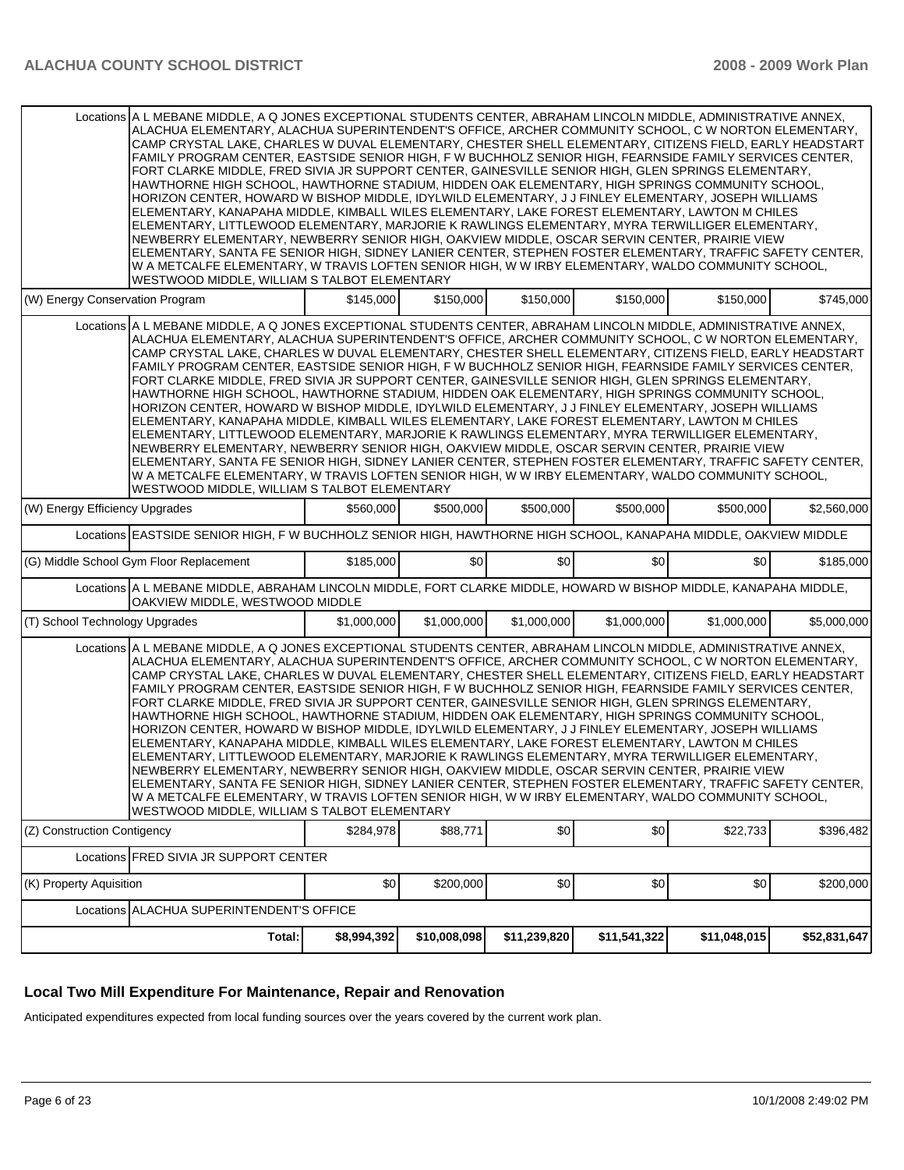| Locations A L MEBANE MIDDLE. A Q JONES EXCEPTIONAL STUDENTS CENTER. ABRAHAM LINCOLN MIDDLE. ADMINISTRATIVE ANNEX.<br>ALACHUA ELEMENTARY, ALACHUA SUPERINTENDENT'S OFFICE, ARCHER COMMUNITY SCHOOL, C W NORTON ELEMENTARY,<br>CAMP CRYSTAL LAKE, CHARLES W DUVAL ELEMENTARY, CHESTER SHELL ELEMENTARY, CITIZENS FIELD, EARLY HEADSTART<br>FAMILY PROGRAM CENTER, EASTSIDE SENIOR HIGH, F W BUCHHOLZ SENIOR HIGH, FEARNSIDE FAMILY SERVICES CENTER,<br>FORT CLARKE MIDDLE, FRED SIVIA JR SUPPORT CENTER, GAINESVILLE SENIOR HIGH, GLEN SPRINGS ELEMENTARY,<br>HAWTHORNE HIGH SCHOOL, HAWTHORNE STADIUM, HIDDEN OAK ELEMENTARY, HIGH SPRINGS COMMUNITY SCHOOL,<br>HORIZON CENTER, HOWARD W BISHOP MIDDLE, IDYLWILD ELEMENTARY, J J FINLEY ELEMENTARY, JOSEPH WILLIAMS<br>ELEMENTARY, KANAPAHA MIDDLE, KIMBALL WILES ELEMENTARY, LAKE FOREST ELEMENTARY, LAWTON M CHILES<br>ELEMENTARY, LITTLEWOOD ELEMENTARY, MARJORIE K RAWLINGS ELEMENTARY, MYRA TERWILLIGER ELEMENTARY,<br>NEWBERRY ELEMENTARY, NEWBERRY SENIOR HIGH, OAKVIEW MIDDLE, OSCAR SERVIN CENTER, PRAIRIE VIEW<br> ELEMENTARY, SANTA FE SENIOR HIGH, SIDNEY LANIER CENTER, STEPHEN FOSTER ELEMENTARY, TRAFFIC SAFETY CENTER,<br>W A METCALFE ELEMENTARY, W TRAVIS LOFTEN SENIOR HIGH, W W IRBY ELEMENTARY, WALDO COMMUNITY SCHOOL,<br>WESTWOOD MIDDLE, WILLIAM S TALBOT ELEMENTARY |             |              |              |              |              |              |  |  |
|---------------------------------------------------------------------------------------------------------------------------------------------------------------------------------------------------------------------------------------------------------------------------------------------------------------------------------------------------------------------------------------------------------------------------------------------------------------------------------------------------------------------------------------------------------------------------------------------------------------------------------------------------------------------------------------------------------------------------------------------------------------------------------------------------------------------------------------------------------------------------------------------------------------------------------------------------------------------------------------------------------------------------------------------------------------------------------------------------------------------------------------------------------------------------------------------------------------------------------------------------------------------------------------------------------------------------------------------|-------------|--------------|--------------|--------------|--------------|--------------|--|--|
| (W) Energy Conservation Program                                                                                                                                                                                                                                                                                                                                                                                                                                                                                                                                                                                                                                                                                                                                                                                                                                                                                                                                                                                                                                                                                                                                                                                                                                                                                                             | \$145,000   | \$150,000    | \$150,000    | \$150,000    | \$150,000    | \$745,000    |  |  |
| Locations A L MEBANE MIDDLE, A Q JONES EXCEPTIONAL STUDENTS CENTER, ABRAHAM LINCOLN MIDDLE, ADMINISTRATIVE ANNEX,<br>ALACHUA ELEMENTARY, ALACHUA SUPERINTENDENT'S OFFICE, ARCHER COMMUNITY SCHOOL, C W NORTON ELEMENTARY,<br>CAMP CRYSTAL LAKE, CHARLES W DUVAL ELEMENTARY, CHESTER SHELL ELEMENTARY, CITIZENS FIELD, EARLY HEADSTART<br>FAMILY PROGRAM CENTER, EASTSIDE SENIOR HIGH, F W BUCHHOLZ SENIOR HIGH, FEARNSIDE FAMILY SERVICES CENTER,<br>FORT CLARKE MIDDLE, FRED SIVIA JR SUPPORT CENTER, GAINESVILLE SENIOR HIGH, GLEN SPRINGS ELEMENTARY,<br>HAWTHORNE HIGH SCHOOL, HAWTHORNE STADIUM, HIDDEN OAK ELEMENTARY, HIGH SPRINGS COMMUNITY SCHOOL,<br>HORIZON CENTER, HOWARD W BISHOP MIDDLE, IDYLWILD ELEMENTARY, J J FINLEY ELEMENTARY, JOSEPH WILLIAMS<br>ELEMENTARY, KANAPAHA MIDDLE, KIMBALL WILES ELEMENTARY, LAKE FOREST ELEMENTARY, LAWTON M CHILES<br>ELEMENTARY, LITTLEWOOD ELEMENTARY, MARJORIE K RAWLINGS ELEMENTARY, MYRA TERWILLIGER ELEMENTARY,<br>NEWBERRY ELEMENTARY, NEWBERRY SENIOR HIGH, OAKVIEW MIDDLE, OSCAR SERVIN CENTER, PRAIRIE VIEW<br>ELEMENTARY, SANTA FE SENIOR HIGH, SIDNEY LANIER CENTER, STEPHEN FOSTER ELEMENTARY, TRAFFIC SAFETY CENTER,<br>W A METCALFE ELEMENTARY, W TRAVIS LOFTEN SENIOR HIGH, W W IRBY ELEMENTARY, WALDO COMMUNITY SCHOOL,<br>WESTWOOD MIDDLE, WILLIAM S TALBOT ELEMENTARY  |             |              |              |              |              |              |  |  |
| (W) Energy Efficiency Upgrades                                                                                                                                                                                                                                                                                                                                                                                                                                                                                                                                                                                                                                                                                                                                                                                                                                                                                                                                                                                                                                                                                                                                                                                                                                                                                                              | \$560,000   | \$500,000    | \$500,000    | \$500,000    | \$500,000    | \$2,560,000  |  |  |
| Locations EASTSIDE SENIOR HIGH, F W BUCHHOLZ SENIOR HIGH, HAWTHORNE HIGH SCHOOL, KANAPAHA MIDDLE, OAKVIEW MIDDLE                                                                                                                                                                                                                                                                                                                                                                                                                                                                                                                                                                                                                                                                                                                                                                                                                                                                                                                                                                                                                                                                                                                                                                                                                            |             |              |              |              |              |              |  |  |
| (G) Middle School Gym Floor Replacement                                                                                                                                                                                                                                                                                                                                                                                                                                                                                                                                                                                                                                                                                                                                                                                                                                                                                                                                                                                                                                                                                                                                                                                                                                                                                                     | \$185,000   | \$0]         | \$0          | \$0          | \$0          | \$185,000    |  |  |
| Locations A L MEBANE MIDDLE, ABRAHAM LINCOLN MIDDLE, FORT CLARKE MIDDLE, HOWARD W BISHOP MIDDLE, KANAPAHA MIDDLE,<br>OAKVIEW MIDDLE, WESTWOOD MIDDLE                                                                                                                                                                                                                                                                                                                                                                                                                                                                                                                                                                                                                                                                                                                                                                                                                                                                                                                                                                                                                                                                                                                                                                                        |             |              |              |              |              |              |  |  |
| (T) School Technology Upgrades                                                                                                                                                                                                                                                                                                                                                                                                                                                                                                                                                                                                                                                                                                                                                                                                                                                                                                                                                                                                                                                                                                                                                                                                                                                                                                              | \$1,000,000 | \$1,000,000  | \$1,000,000  | \$1,000,000  | \$1,000,000  | \$5,000,000  |  |  |
| Locations A L MEBANE MIDDLE, A Q JONES EXCEPTIONAL STUDENTS CENTER, ABRAHAM LINCOLN MIDDLE, ADMINISTRATIVE ANNEX,<br>ALACHUA ELEMENTARY, ALACHUA SUPERINTENDENT'S OFFICE, ARCHER COMMUNITY SCHOOL, C W NORTON ELEMENTARY,<br>CAMP CRYSTAL LAKE, CHARLES W DUVAL ELEMENTARY, CHESTER SHELL ELEMENTARY, CITIZENS FIELD, EARLY HEADSTART<br>FAMILY PROGRAM CENTER, EASTSIDE SENIOR HIGH, F W BUCHHOLZ SENIOR HIGH, FEARNSIDE FAMILY SERVICES CENTER,<br>FORT CLARKE MIDDLE, FRED SIVIA JR SUPPORT CENTER, GAINESVILLE SENIOR HIGH, GLEN SPRINGS ELEMENTARY,<br>HAWTHORNE HIGH SCHOOL, HAWTHORNE STADIUM, HIDDEN OAK ELEMENTARY, HIGH SPRINGS COMMUNITY SCHOOL,<br>HORIZON CENTER, HOWARD W BISHOP MIDDLE, IDYLWILD ELEMENTARY, J J FINLEY ELEMENTARY, JOSEPH WILLIAMS<br>ELEMENTARY, KANAPAHA MIDDLE, KIMBALL WILES ELEMENTARY, LAKE FOREST ELEMENTARY, LAWTON M CHILES<br>ELEMENTARY, LITTLEWOOD ELEMENTARY, MARJORIE K RAWLINGS ELEMENTARY, MYRA TERWILLIGER ELEMENTARY,<br>NEWBERRY ELEMENTARY, NEWBERRY SENIOR HIGH, OAKVIEW MIDDLE, OSCAR SERVIN CENTER, PRAIRIE VIEW<br>ELEMENTARY, SANTA FE SENIOR HIGH, SIDNEY LANIER CENTER, STEPHEN FOSTER ELEMENTARY, TRAFFIC SAFETY CENTER.<br>W A METCALFE ELEMENTARY, W TRAVIS LOFTEN SENIOR HIGH, W W IRBY ELEMENTARY, WALDO COMMUNITY SCHOOL,<br>WESTWOOD MIDDLE, WILLIAM S TALBOT ELEMENTARY  |             |              |              |              |              |              |  |  |
| (Z) Construction Contigency                                                                                                                                                                                                                                                                                                                                                                                                                                                                                                                                                                                                                                                                                                                                                                                                                                                                                                                                                                                                                                                                                                                                                                                                                                                                                                                 | \$284,978   | \$88,771     | \$0          | \$0          | \$22,733     | \$396,482    |  |  |
| Locations FRED SIVIA JR SUPPORT CENTER                                                                                                                                                                                                                                                                                                                                                                                                                                                                                                                                                                                                                                                                                                                                                                                                                                                                                                                                                                                                                                                                                                                                                                                                                                                                                                      |             |              |              |              |              |              |  |  |
| (K) Property Aquisition                                                                                                                                                                                                                                                                                                                                                                                                                                                                                                                                                                                                                                                                                                                                                                                                                                                                                                                                                                                                                                                                                                                                                                                                                                                                                                                     | \$0         | \$200,000    | \$0          | \$0          | \$0          | \$200,000    |  |  |
| Locations ALACHUA SUPERINTENDENT'S OFFICE                                                                                                                                                                                                                                                                                                                                                                                                                                                                                                                                                                                                                                                                                                                                                                                                                                                                                                                                                                                                                                                                                                                                                                                                                                                                                                   |             |              |              |              |              |              |  |  |
| Total:                                                                                                                                                                                                                                                                                                                                                                                                                                                                                                                                                                                                                                                                                                                                                                                                                                                                                                                                                                                                                                                                                                                                                                                                                                                                                                                                      | \$8,994,392 | \$10,008,098 | \$11,239,820 | \$11,541,322 | \$11,048,015 | \$52,831,647 |  |  |

#### **Local Two Mill Expenditure For Maintenance, Repair and Renovation**

Anticipated expenditures expected from local funding sources over the years covered by the current work plan.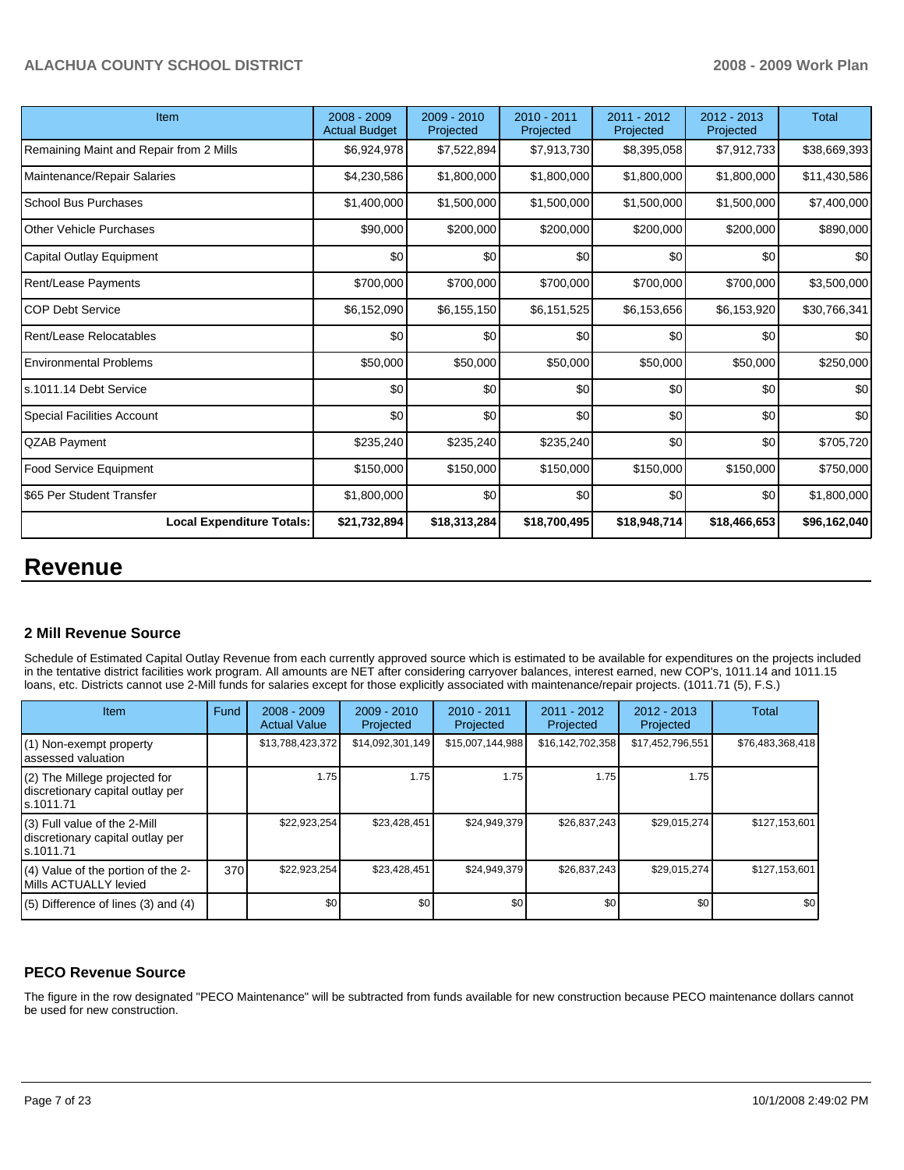| Item                                    | 2008 - 2009<br><b>Actual Budget</b> | $2009 - 2010$<br>Projected | 2010 - 2011<br>Projected | 2011 - 2012<br>Projected | $2012 - 2013$<br>Projected | <b>Total</b> |
|-----------------------------------------|-------------------------------------|----------------------------|--------------------------|--------------------------|----------------------------|--------------|
| Remaining Maint and Repair from 2 Mills | \$6,924,978                         | \$7,522,894                | \$7,913,730              | \$8,395,058              | \$7,912,733                | \$38,669,393 |
| Maintenance/Repair Salaries             | \$4,230,586                         | \$1,800,000                | \$1,800,000              | \$1,800,000              | \$1,800,000                | \$11,430,586 |
| <b>School Bus Purchases</b>             | \$1,400,000                         | \$1,500,000                | \$1,500,000              | \$1,500,000              | \$1,500,000                | \$7,400,000  |
| <b>Other Vehicle Purchases</b>          | \$90,000                            | \$200,000                  | \$200,000                | \$200,000                | \$200,000                  | \$890,000    |
| Capital Outlay Equipment                | \$0                                 | \$0                        | \$0                      | \$0                      | \$0                        | \$0          |
| Rent/Lease Payments                     | \$700,000                           | \$700,000                  | \$700,000                | \$700,000                | \$700,000                  | \$3,500,000  |
| <b>COP Debt Service</b>                 | \$6,152,090                         | \$6,155,150                | \$6,151,525              | \$6,153,656              | \$6,153,920                | \$30,766,341 |
| Rent/Lease Relocatables                 | \$0                                 | \$0                        | \$0                      | \$0                      | \$0                        | \$0          |
| <b>Environmental Problems</b>           | \$50,000                            | \$50,000                   | \$50,000                 | \$50,000                 | \$50,000                   | \$250,000    |
| ls.1011.14 Debt Service                 | \$0                                 | \$0                        | \$0                      | \$0                      | \$0                        | \$0          |
| Special Facilities Account              | \$0                                 | \$0                        | \$0                      | \$0                      | \$0                        | \$0          |
| QZAB Payment                            | \$235,240                           | \$235,240                  | \$235,240                | \$0                      | \$0                        | \$705,720    |
| <b>Food Service Equipment</b>           | \$150,000                           | \$150,000                  | \$150,000                | \$150,000                | \$150,000                  | \$750,000    |
| I\$65 Per Student Transfer              | \$1,800,000                         | \$0                        | \$0                      | \$0                      | \$0                        | \$1,800,000  |
| <b>Local Expenditure Totals:</b>        | \$21,732,894                        | \$18,313,284               | \$18,700,495             | \$18,948,714             | \$18,466,653               | \$96,162,040 |

# **Revenue**

#### **2 Mill Revenue Source**

Schedule of Estimated Capital Outlay Revenue from each currently approved source which is estimated to be available for expenditures on the projects included in the tentative district facilities work program. All amounts are NET after considering carryover balances, interest earned, new COP's, 1011.14 and 1011.15 loans, etc. Districts cannot use 2-Mill funds for salaries except for those explicitly associated with maintenance/repair projects. (1011.71 (5), F.S.)

| Item                                                                             | Fund | $2008 - 2009$<br><b>Actual Value</b> | $2009 - 2010$<br>Projected | $2010 - 2011$<br>Projected | $2011 - 2012$<br>Projected | $2012 - 2013$<br>Projected | Total            |
|----------------------------------------------------------------------------------|------|--------------------------------------|----------------------------|----------------------------|----------------------------|----------------------------|------------------|
| (1) Non-exempt property<br>lassessed valuation                                   |      | \$13,788,423,372                     | \$14,092,301,149           | \$15,007,144,988           | \$16,142,702,358           | \$17,452,796,551           | \$76,483,368,418 |
| (2) The Millege projected for<br>discretionary capital outlay per<br>ls.1011.71  |      | 1.75                                 | 1.75 I                     | 1.75                       | 1.75                       | 1.75                       |                  |
| $(3)$ Full value of the 2-Mill<br>discretionary capital outlay per<br>ls.1011.71 |      | \$22,923,254                         | \$23,428,451               | \$24,949,379               | \$26,837,243               | \$29,015,274               | \$127,153,601    |
| (4) Value of the portion of the 2-<br>Mills ACTUALLY levied                      | 370  | \$22,923,254                         | \$23,428,451               | \$24,949,379               | \$26,837,243               | \$29,015,274               | \$127,153,601    |
| $(5)$ Difference of lines $(3)$ and $(4)$                                        |      | \$0                                  | \$0                        | \$0                        | \$0                        | \$0                        | \$0              |

## **PECO Revenue Source**

The figure in the row designated "PECO Maintenance" will be subtracted from funds available for new construction because PECO maintenance dollars cannot be used for new construction.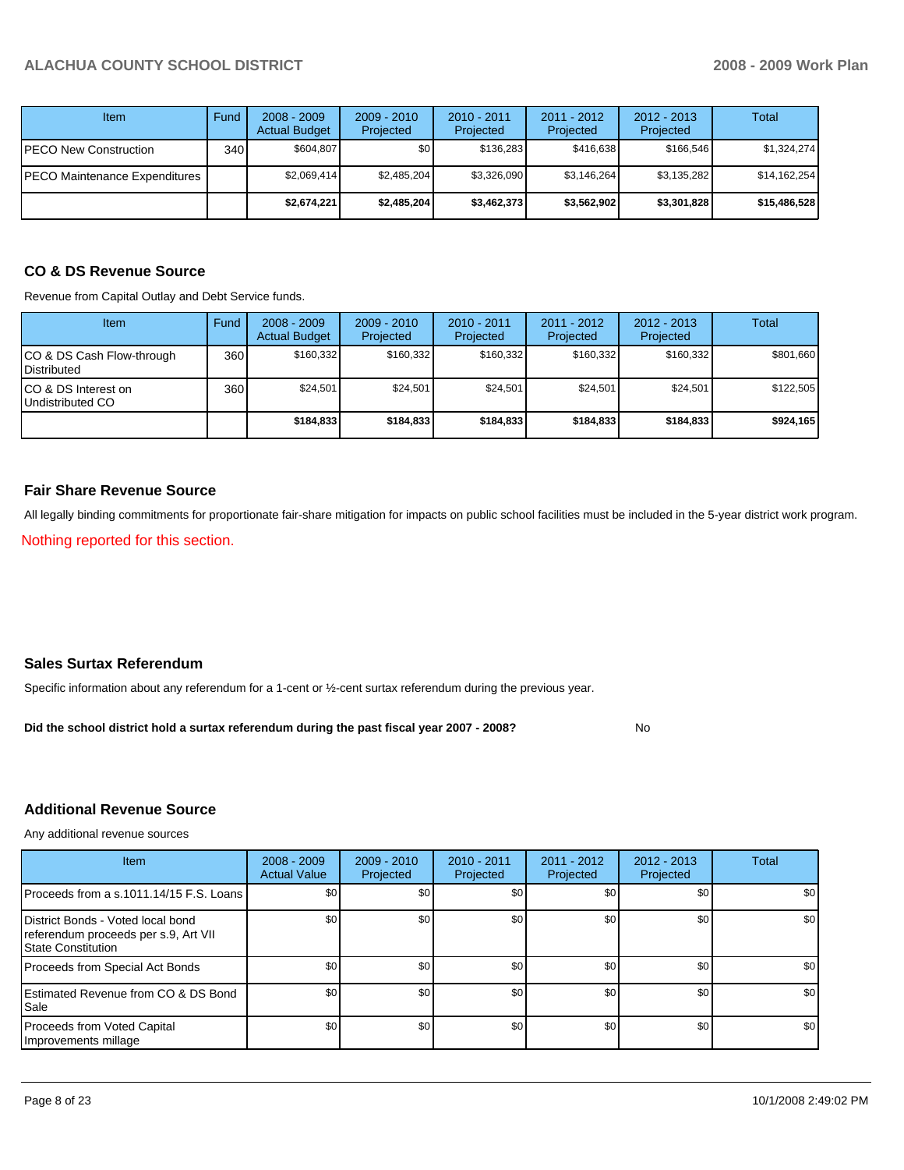| Item                          | Fund | $2008 - 2009$<br><b>Actual Budget</b> | $2009 - 2010$<br>Projected | $2010 - 2011$<br>Projected | 2011 - 2012<br>Projected | $2012 - 2013$<br>Projected | Total        |
|-------------------------------|------|---------------------------------------|----------------------------|----------------------------|--------------------------|----------------------------|--------------|
| PECO New Construction         | 340  | \$604.807                             | \$0 <sub>1</sub>           | \$136.283                  | \$416.638                | \$166.546                  | \$1,324,274  |
| PECO Maintenance Expenditures |      | \$2,069,414                           | \$2,485,204                | \$3,326,090                | \$3,146,264              | \$3,135,282                | \$14,162,254 |
|                               |      | \$2,674,221                           | \$2,485,204                | \$3,462,373                | \$3,562,902              | \$3,301,828                | \$15,486,528 |

# **CO & DS Revenue Source**

Revenue from Capital Outlay and Debt Service funds.

| <b>Item</b>                                        | Fund | $2008 - 2009$<br><b>Actual Budget</b> | $2009 - 2010$<br>Projected | $2010 - 2011$<br>Projected | 2011 - 2012<br>Projected | $2012 - 2013$<br>Projected | Total     |
|----------------------------------------------------|------|---------------------------------------|----------------------------|----------------------------|--------------------------|----------------------------|-----------|
| ICO & DS Cash Flow-through<br><b>I</b> Distributed | 360  | \$160.332                             | \$160.332                  | \$160.332                  | \$160.332                | \$160.332                  | \$801,660 |
| ICO & DS Interest on<br>Undistributed CO           | 360  | \$24,501                              | \$24,501                   | \$24,501                   | \$24.501                 | \$24.501                   | \$122,505 |
|                                                    |      | \$184,833                             | \$184.833                  | \$184.833                  | \$184,833                | \$184,833                  | \$924,165 |

#### **Fair Share Revenue Source**

All legally binding commitments for proportionate fair-share mitigation for impacts on public school facilities must be included in the 5-year district work program.

Nothing reported for this section.

#### **Sales Surtax Referendum**

Specific information about any referendum for a 1-cent or ½-cent surtax referendum during the previous year.

No **Did the school district hold a surtax referendum during the past fiscal year 2007 - 2008?**

## **Additional Revenue Source**

Any additional revenue sources

| <b>Item</b>                                                                                            | $2008 - 2009$<br><b>Actual Value</b> | $2009 - 2010$<br>Projected | $2010 - 2011$<br>Projected | 2011 - 2012<br>Projected | $2012 - 2013$<br>Projected | Total            |
|--------------------------------------------------------------------------------------------------------|--------------------------------------|----------------------------|----------------------------|--------------------------|----------------------------|------------------|
| Proceeds from a s.1011.14/15 F.S. Loans                                                                | \$0                                  | \$0 <sub>1</sub>           | \$0                        | \$0                      | \$0                        | \$0 <sub>1</sub> |
| District Bonds - Voted local bond<br>referendum proceeds per s.9, Art VII<br><b>State Constitution</b> | \$0                                  | \$0                        | \$0                        | \$0                      | \$0                        | \$0 <sub>1</sub> |
| Proceeds from Special Act Bonds                                                                        | \$0                                  | \$0                        | \$0                        | \$0                      | \$0                        | \$0              |
| <b>IEstimated Revenue from CO &amp; DS Bond</b><br><b>Sale</b>                                         | \$0                                  | \$0                        | \$0                        | \$0                      | \$0                        | \$0              |
| Proceeds from Voted Capital<br>Improvements millage                                                    | \$0                                  | \$0                        | \$0                        | \$0                      | \$0                        | \$0              |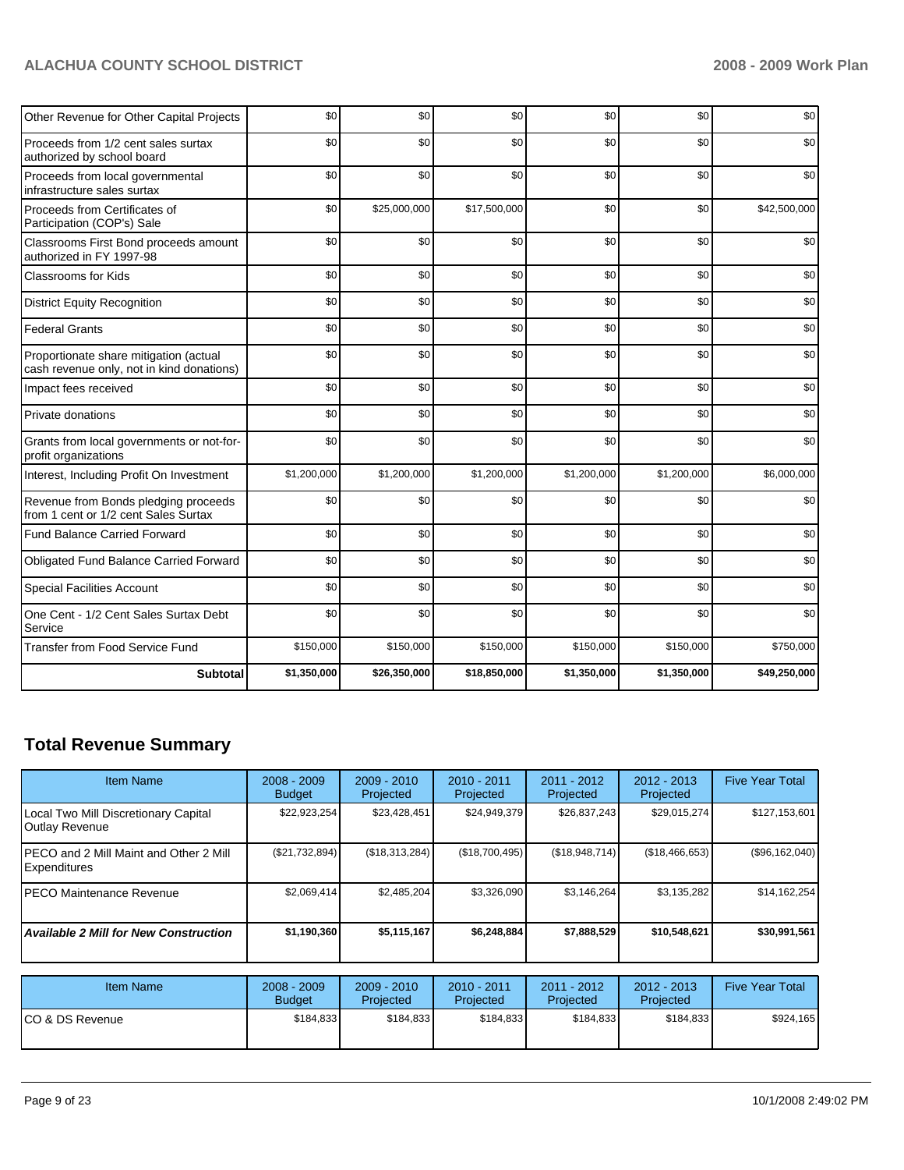| Other Revenue for Other Capital Projects                                            | \$0         | \$0          | \$0          | \$0         | \$0         | \$0          |
|-------------------------------------------------------------------------------------|-------------|--------------|--------------|-------------|-------------|--------------|
| Proceeds from 1/2 cent sales surtax<br>authorized by school board                   | \$0         | \$0          | \$0          | \$0         | \$0         | \$0          |
| Proceeds from local governmental<br>infrastructure sales surtax                     | \$0         | \$0          | \$0          | \$0         | \$0         | \$0          |
| Proceeds from Certificates of<br>Participation (COP's) Sale                         | \$0         | \$25,000,000 | \$17,500,000 | \$0         | \$0         | \$42,500,000 |
| Classrooms First Bond proceeds amount<br>authorized in FY 1997-98                   | \$0         | \$0          | \$0          | \$0         | \$0         | \$0          |
| Classrooms for Kids                                                                 | \$0         | \$0          | \$0          | \$0         | \$0         | \$0          |
| <b>District Equity Recognition</b>                                                  | \$0         | \$0          | \$0          | \$0         | \$0         | \$0          |
| <b>Federal Grants</b>                                                               | \$0         | \$0          | \$0          | \$0         | \$0         | \$0          |
| Proportionate share mitigation (actual<br>cash revenue only, not in kind donations) | \$0         | \$0          | \$0          | \$0         | \$0         | \$0          |
| Impact fees received                                                                | \$0         | \$0          | \$0          | \$0         | \$0         | \$0          |
| Private donations                                                                   | \$0         | \$0          | \$0          | \$0         | \$0         | \$0          |
| Grants from local governments or not-for-<br>profit organizations                   | \$0         | \$0          | \$0          | \$0         | \$0         | \$0          |
| Interest, Including Profit On Investment                                            | \$1,200,000 | \$1,200,000  | \$1,200,000  | \$1,200,000 | \$1,200,000 | \$6,000,000  |
| Revenue from Bonds pledging proceeds<br>from 1 cent or 1/2 cent Sales Surtax        | \$0         | \$0          | \$0          | \$0         | \$0         | \$0          |
| <b>Fund Balance Carried Forward</b>                                                 | \$0         | \$0          | \$0          | \$0         | \$0         | \$0          |
| Obligated Fund Balance Carried Forward                                              | \$0         | \$0          | \$0          | \$0         | \$0         | \$0          |
| <b>Special Facilities Account</b>                                                   | \$0         | \$0          | \$0          | \$0         | \$0         | \$0          |
| One Cent - 1/2 Cent Sales Surtax Debt<br>Service                                    | \$0         | \$0          | \$0          | \$0         | \$0         | \$0          |
| <b>Transfer from Food Service Fund</b>                                              | \$150,000   | \$150,000    | \$150,000    | \$150,000   | \$150,000   | \$750,000    |
| <b>Subtotal</b>                                                                     | \$1,350,000 | \$26,350,000 | \$18,850,000 | \$1,350,000 | \$1,350,000 | \$49,250,000 |

# **Total Revenue Summary**

| <b>Item Name</b>                                               | $2008 - 2009$<br><b>Budget</b> | $2009 - 2010$<br>Projected | $2010 - 2011$<br>Projected | $2011 - 2012$<br>Projected | $2012 - 2013$<br>Projected | <b>Five Year Total</b> |
|----------------------------------------------------------------|--------------------------------|----------------------------|----------------------------|----------------------------|----------------------------|------------------------|
| Local Two Mill Discretionary Capital<br>Outlay Revenue         | \$22,923,254                   | \$23,428,451               | \$24,949,379               | \$26,837,243               | \$29,015,274               | \$127,153,601          |
| IPECO and 2 Mill Maint and Other 2 Mill<br><b>Expenditures</b> | (S21,732,894)                  | (\$18,313,284)             | (\$18,700,495)             | (\$18,948,714)             | (\$18,466,653)             | (\$96,162,040)         |
| IPECO Maintenance Revenue                                      | \$2.069.414                    | \$2.485.204                | \$3.326.090                | \$3.146.264                | \$3,135,282                | \$14,162,254           |
| <b>Available 2 Mill for New Construction</b>                   | \$1,190,360                    | \$5,115,167                | \$6,248,884                | \$7,888,529                | \$10,548,621               | \$30,991,561           |

| Item Name        | 2008 - 2009<br><b>Budget</b> | $2009 - 2010$<br>Projected | $2010 - 2011$<br>Projected | 2011 - 2012<br>Projected | $2012 - 2013$<br>Projected | <b>Five Year Total</b> |
|------------------|------------------------------|----------------------------|----------------------------|--------------------------|----------------------------|------------------------|
| ICO & DS Revenue | \$184.833                    | \$184.833                  | \$184.833                  | \$184.833                | \$184.833                  | \$924,165              |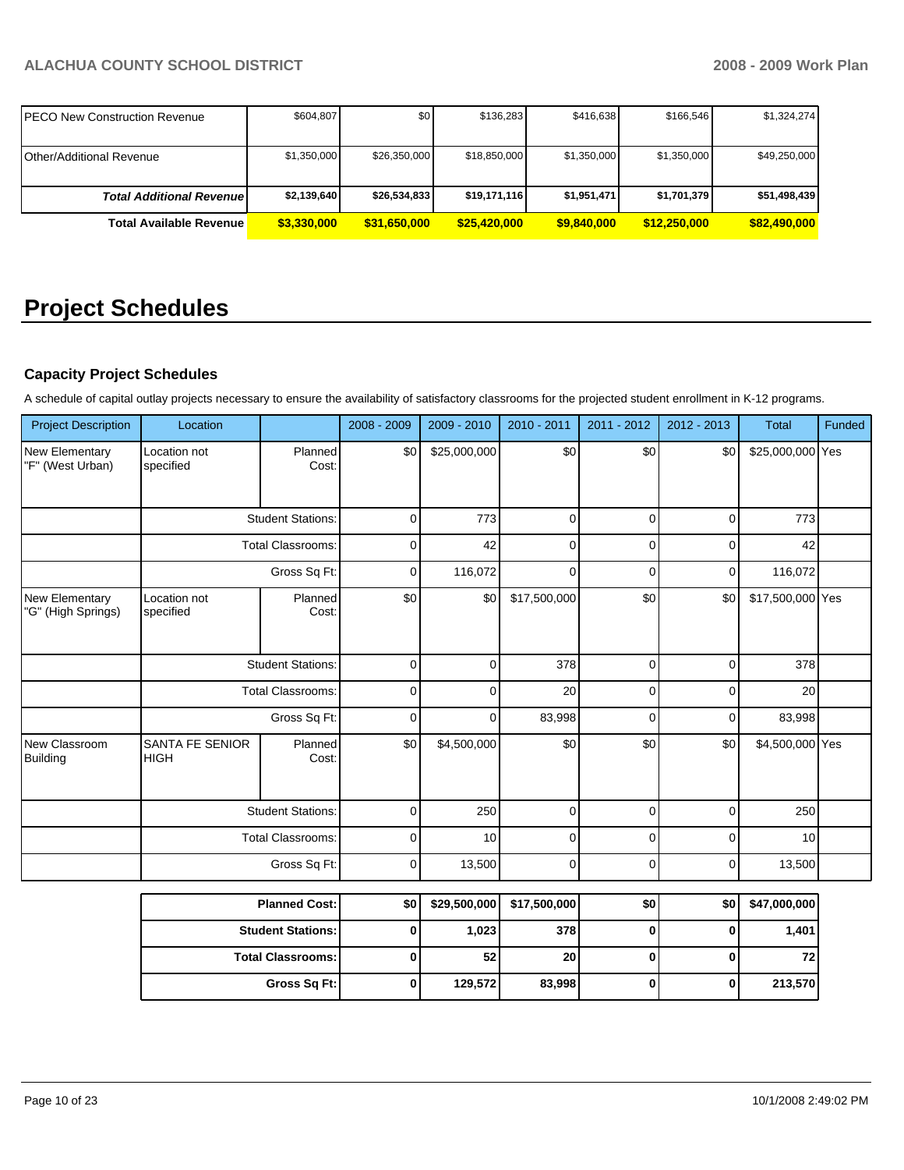| IPECO New Construction Revenue  | \$604,807   | \$0          | \$136,283    | \$416,638   | \$166,546    | \$1,324,274  |
|---------------------------------|-------------|--------------|--------------|-------------|--------------|--------------|
|                                 |             |              |              |             |              |              |
| Other/Additional Revenue        | \$1,350,000 | \$26,350,000 | \$18,850,000 | \$1,350,000 | \$1,350,000  | \$49,250,000 |
| <b>Total Additional Revenue</b> | \$2,139,640 | \$26,534,833 | \$19,171,116 | \$1,951,471 | \$1,701,379  | \$51,498,439 |
| <b>Total Available Revenue</b>  | \$3,330,000 | \$31,650,000 | \$25,420,000 | \$9,840,000 | \$12,250,000 | \$82,490,000 |

# **Project Schedules**

# **Capacity Project Schedules**

A schedule of capital outlay projects necessary to ensure the availability of satisfactory classrooms for the projected student enrollment in K-12 programs.

| <b>Project Description</b>           | Location                              |                          | 2008 - 2009 | 2009 - 2010  | 2010 - 2011  | 2011 - 2012 | 2012 - 2013 | <b>Total</b>     | Funded |
|--------------------------------------|---------------------------------------|--------------------------|-------------|--------------|--------------|-------------|-------------|------------------|--------|
| New Elementary<br>"F" (West Urban)   | Location not<br>specified             | Planned<br>Cost:         | \$0         | \$25,000,000 | \$0          | \$0         | \$0         | \$25,000,000 Yes |        |
|                                      |                                       | <b>Student Stations:</b> | $\mathbf 0$ | 773          | $\mathbf 0$  | $\mathbf 0$ | $\mathbf 0$ | 773              |        |
|                                      |                                       | <b>Total Classrooms:</b> |             | 42           | $\mathbf 0$  | $\mathbf 0$ | 0           | 42               |        |
|                                      |                                       | Gross Sq Ft:             | $\mathbf 0$ | 116,072      | $\mathbf 0$  | $\mathbf 0$ | $\mathbf 0$ | 116,072          |        |
| New Elementary<br>"G" (High Springs) | Location not<br>specified             | Planned<br>Cost:         | \$0         | \$0          | \$17,500,000 | \$0         | \$0         | \$17,500,000 Yes |        |
|                                      | <b>Student Stations:</b>              |                          | $\mathbf 0$ | 0            | 378          | $\mathbf 0$ | $\mathbf 0$ | 378              |        |
|                                      | <b>Total Classrooms:</b>              |                          | $\mathbf 0$ | $\mathbf{0}$ | 20           | $\mathbf 0$ | $\mathbf 0$ | 20               |        |
|                                      |                                       | Gross Sq Ft:             |             | 0            | 83,998       | $\mathbf 0$ | $\mathbf 0$ | 83,998           |        |
| New Classroom<br><b>Building</b>     | <b>SANTA FE SENIOR</b><br><b>HIGH</b> | Planned<br>Cost:         | \$0         | \$4,500,000  | \$0          | \$0         | \$0         | \$4,500,000 Yes  |        |
|                                      |                                       | <b>Student Stations:</b> | $\mathbf 0$ | 250          | $\mathbf 0$  | $\mathbf 0$ | $\mathbf 0$ | 250              |        |
|                                      |                                       | <b>Total Classrooms:</b> | $\mathbf 0$ | 10           | $\mathbf 0$  | $\mathbf 0$ | $\mathbf 0$ | 10               |        |
|                                      |                                       | Gross Sq Ft:             | $\mathbf 0$ | 13,500       | $\mathbf 0$  | $\mathbf 0$ | $\mathbf 0$ | 13,500           |        |
|                                      |                                       | <b>Planned Cost:</b>     | \$0         | \$29,500,000 | \$17,500,000 | \$0         | \$0         | \$47,000,000     |        |
|                                      |                                       | <b>Student Stations:</b> | $\bf{0}$    | 1,023        | 378          | $\mathbf 0$ | $\bf{0}$    | 1,401            |        |
|                                      |                                       | <b>Total Classrooms:</b> | $\bf{0}$    | 52           | 20           | $\mathbf 0$ | $\bf{0}$    | 72               |        |
|                                      |                                       | Gross Sq Ft:             | $\pmb{0}$   | 129,572      | 83,998       | $\bf{0}$    | $\mathbf 0$ | 213,570          |        |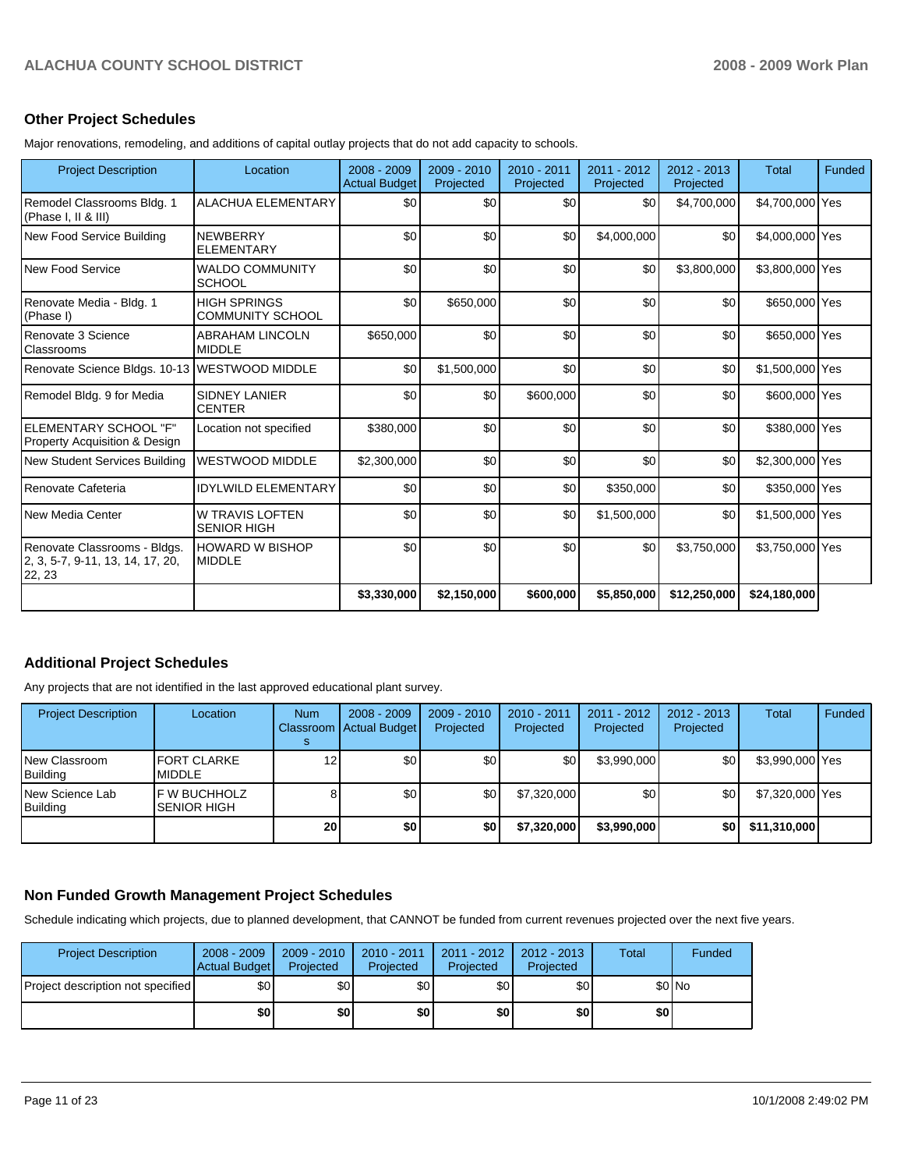#### **Other Project Schedules**

Major renovations, remodeling, and additions of capital outlay projects that do not add capacity to schools.

| <b>Project Description</b>                                                 | Location                                       | 2008 - 2009<br><b>Actual Budget</b> | 2009 - 2010<br>Projected | $2010 - 2011$<br>Projected | 2011 - 2012<br>Projected | $2012 - 2013$<br>Projected | <b>Total</b>    | Funded |
|----------------------------------------------------------------------------|------------------------------------------------|-------------------------------------|--------------------------|----------------------------|--------------------------|----------------------------|-----------------|--------|
| Remodel Classrooms Bldg. 1<br>(Phase I, II & III)                          | <b>ALACHUA ELEMENTARY</b>                      | \$0                                 | \$0                      | \$0                        | \$0                      | \$4,700,000                | \$4,700,000 Yes |        |
| New Food Service Building                                                  | <b>NEWBERRY</b><br><b>ELEMENTARY</b>           | \$0                                 | \$0                      | \$0                        | \$4,000,000              | \$0                        | \$4,000,000 Yes |        |
| New Food Service                                                           | <b>WALDO COMMUNITY</b><br><b>SCHOOL</b>        | \$0                                 | \$0                      | \$0                        | \$0                      | \$3,800,000                | \$3,800,000 Yes |        |
| Renovate Media - Bldg. 1<br>(Phase I)                                      | <b>HIGH SPRINGS</b><br><b>COMMUNITY SCHOOL</b> | \$0                                 | \$650,000                | \$0                        | \$0                      | \$0                        | \$650,000 Yes   |        |
| Renovate 3 Science<br>Classrooms                                           | <b>ABRAHAM LINCOLN</b><br><b>MIDDLE</b>        | \$650,000                           | \$0                      | \$0                        | \$0                      | \$0                        | \$650,000 Yes   |        |
| Renovate Science Bldgs. 10-13 WESTWOOD MIDDLE                              |                                                | \$0                                 | \$1,500,000              | \$0                        | \$0                      | \$0                        | \$1,500,000 Yes |        |
| Remodel Bldg. 9 for Media                                                  | <b>SIDNEY LANIER</b><br><b>CENTER</b>          | \$0                                 | \$0                      | \$600,000                  | \$0                      | \$0                        | \$600,000 Yes   |        |
| ELEMENTARY SCHOOL "F"<br><b>Property Acquisition &amp; Design</b>          | Location not specified                         | \$380,000                           | \$0                      | \$0                        | \$0                      | \$0                        | \$380,000 Yes   |        |
| New Student Services Building                                              | <b>WESTWOOD MIDDLE</b>                         | \$2,300,000                         | \$0                      | \$0                        | \$0                      | \$0                        | \$2,300,000 Yes |        |
| Renovate Cafeteria                                                         | <b>IDYLWILD ELEMENTARY</b>                     | \$0                                 | \$0                      | \$0                        | \$350,000                | \$0                        | \$350,000 Yes   |        |
| New Media Center                                                           | <b>W TRAVIS LOFTEN</b><br><b>SENIOR HIGH</b>   | \$0                                 | \$0                      | \$0                        | \$1,500,000              | \$0                        | \$1,500,000 Yes |        |
| Renovate Classrooms - Bldgs.<br>2, 3, 5-7, 9-11, 13, 14, 17, 20,<br>22, 23 | <b>HOWARD W BISHOP</b><br><b>MIDDLE</b>        | \$0                                 | \$0                      | \$0                        | \$0                      | \$3,750,000                | \$3,750,000 Yes |        |
|                                                                            |                                                | \$3,330,000                         | \$2,150,000              | \$600,000                  | \$5,850,000              | \$12,250,000               | \$24,180,000    |        |

## **Additional Project Schedules**

Any projects that are not identified in the last approved educational plant survey.

| <b>Project Description</b>       | Location                             | <b>Num</b>      | $2008 - 2009$<br>Classroom   Actual Budget | $2009 - 2010$<br>Projected | 2010 - 2011<br>Projected | $2011 - 2012$<br>Projected | $2012 - 2013$<br>Projected | Total           | <b>Funded</b> |
|----------------------------------|--------------------------------------|-----------------|--------------------------------------------|----------------------------|--------------------------|----------------------------|----------------------------|-----------------|---------------|
| New Classroom<br><b>Building</b> | <b>IFORT CLARKE</b><br><b>MIDDLE</b> | 12              | \$0                                        | \$0                        | \$0                      | \$3,990,000                | \$0                        | \$3,990,000 Yes |               |
| New Science Lab<br>Building      | <b>IF W BUCHHOLZ</b><br>ISENIOR HIGH |                 | \$0                                        | \$0                        | \$7,320,000              | \$0                        | \$0                        | \$7,320,000 Yes |               |
|                                  |                                      | 20 <sub>1</sub> | \$0                                        | \$0                        | \$7,320,000              | \$3,990,000                | \$0                        | \$11,310,000    |               |

## **Non Funded Growth Management Project Schedules**

Schedule indicating which projects, due to planned development, that CANNOT be funded from current revenues projected over the next five years.

| <b>Project Description</b>        | $2008 - 2009$<br><b>Actual Budget</b> | $2009 - 2010$<br>Projected | $2010 - 2011$<br>Projected | $2011 - 2012$<br>Projected | 2012 - 2013<br>Projected | Total | Funded |
|-----------------------------------|---------------------------------------|----------------------------|----------------------------|----------------------------|--------------------------|-------|--------|
| Project description not specified | \$0                                   | \$0 <sub>l</sub>           | \$0                        | \$0I                       | \$0                      |       | \$0 No |
|                                   | \$0                                   | \$0                        | \$0                        | \$0                        | \$0                      | \$0   |        |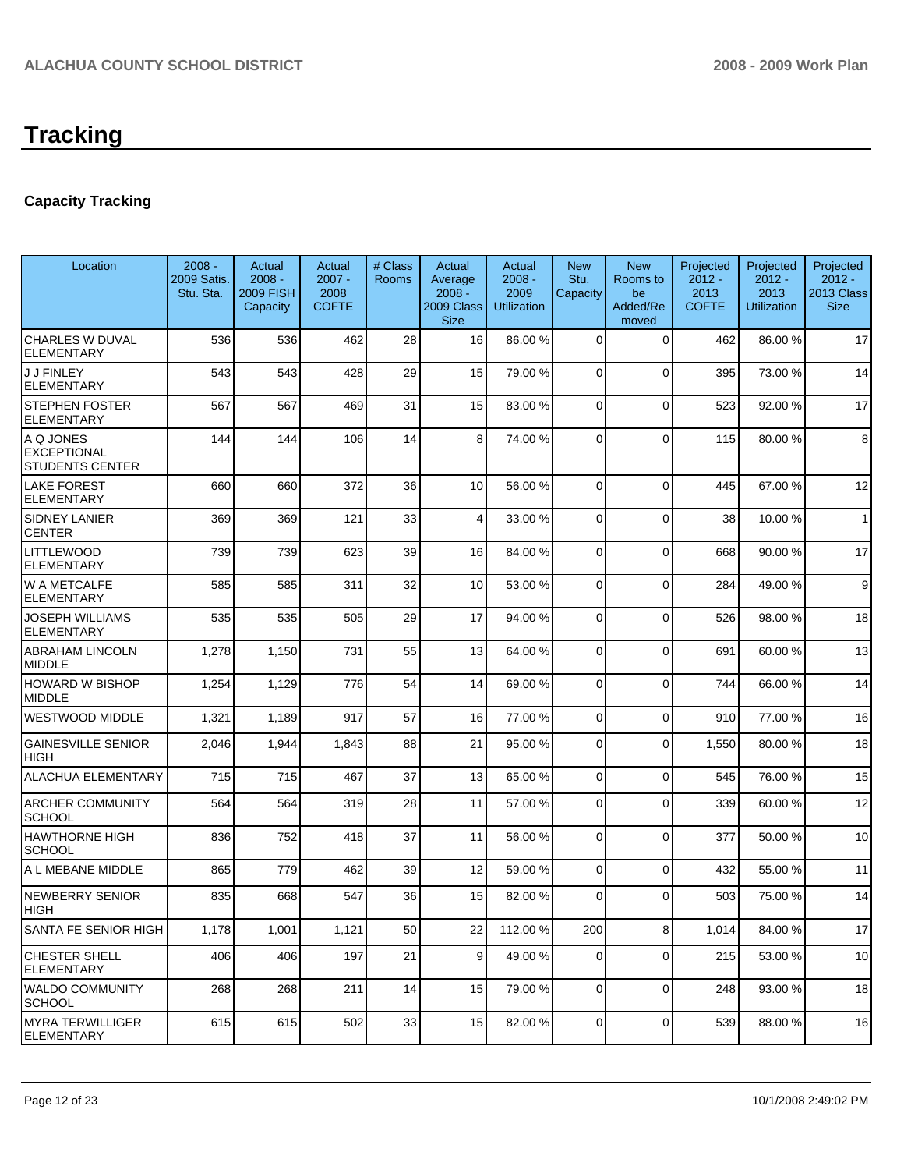# **Capacity Tracking**

| Location                                                  | $2008 -$<br>2009 Satis.<br>Stu. Sta. | Actual<br>$2008 -$<br><b>2009 FISH</b><br>Capacity | Actual<br>$2007 -$<br>2008<br><b>COFTE</b> | # Class<br><b>Rooms</b> | Actual<br>Average<br>$2008 -$<br>2009 Class<br><b>Size</b> | Actual<br>$2008 -$<br>2009<br>Utilization | <b>New</b><br>Stu.<br>Capacity | <b>New</b><br>Rooms to<br>be<br>Added/Re<br>moved | Projected<br>$2012 -$<br>2013<br><b>COFTE</b> | Projected<br>$2012 -$<br>2013<br><b>Utilization</b> | Projected<br>$2012 -$<br>2013 Class<br><b>Size</b> |
|-----------------------------------------------------------|--------------------------------------|----------------------------------------------------|--------------------------------------------|-------------------------|------------------------------------------------------------|-------------------------------------------|--------------------------------|---------------------------------------------------|-----------------------------------------------|-----------------------------------------------------|----------------------------------------------------|
| <b>CHARLES W DUVAL</b><br><b>ELEMENTARY</b>               | 536                                  | 536                                                | 462                                        | 28                      | 16                                                         | 86.00 %                                   | 0                              | $\mathbf 0$                                       | 462                                           | 86.00 %                                             | 17                                                 |
| <b>J J FINLEY</b><br><b>ELEMENTARY</b>                    | 543                                  | 543                                                | 428                                        | 29                      | 15                                                         | 79.00 %                                   | $\overline{0}$                 | $\Omega$                                          | 395                                           | 73.00 %                                             | 14                                                 |
| <b>STEPHEN FOSTER</b><br><b>ELEMENTARY</b>                | 567                                  | 567                                                | 469                                        | 31                      | 15                                                         | 83.00 %                                   | 0                              | $\Omega$                                          | 523                                           | 92.00%                                              | 17                                                 |
| A Q JONES<br><b>EXCEPTIONAL</b><br><b>STUDENTS CENTER</b> | 144                                  | 144                                                | 106                                        | 14                      | 8                                                          | 74.00 %                                   | 0                              | $\Omega$                                          | 115                                           | 80.00%                                              | 8                                                  |
| <b>LAKE FOREST</b><br><b>ELEMENTARY</b>                   | 660                                  | 660                                                | 372                                        | 36                      | 10                                                         | 56.00 %                                   | 0                              | $\Omega$                                          | 445                                           | 67.00 %                                             | 12                                                 |
| SIDNEY LANIER<br><b>CENTER</b>                            | 369                                  | 369                                                | 121                                        | 33                      | $\overline{4}$                                             | 33.00 %                                   | 0                              | $\Omega$                                          | 38                                            | 10.00%                                              | 1                                                  |
| <b>LITTLEWOOD</b><br>ELEMENTARY                           | 739                                  | 739                                                | 623                                        | 39                      | 16                                                         | 84.00 %                                   | $\overline{0}$                 | $\Omega$                                          | 668                                           | 90.00 %                                             | 17                                                 |
| W A METCALFE<br><b>ELEMENTARY</b>                         | 585                                  | 585                                                | 311                                        | 32                      | 10 <sup>1</sup>                                            | 53.00 %                                   | $\Omega$                       | $\Omega$                                          | 284                                           | 49.00 %                                             | 9                                                  |
| JOSEPH WILLIAMS<br><b>ELEMENTARY</b>                      | 535                                  | 535                                                | 505                                        | 29                      | 17                                                         | 94.00 %                                   | $\mathbf 0$                    | $\Omega$                                          | 526                                           | 98.00 %                                             | 18                                                 |
| <b>ABRAHAM LINCOLN</b><br><b>MIDDLE</b>                   | 1,278                                | 1,150                                              | 731                                        | 55                      | 13                                                         | 64.00 %                                   | $\Omega$                       | $\Omega$                                          | 691                                           | 60.00%                                              | 13                                                 |
| <b>HOWARD W BISHOP</b><br><b>MIDDLE</b>                   | 1,254                                | 1,129                                              | 776                                        | 54                      | 14                                                         | 69.00 %                                   | $\Omega$                       | $\Omega$                                          | 744                                           | 66.00 %                                             | 14                                                 |
| WESTWOOD MIDDLE                                           | 1,321                                | 1,189                                              | 917                                        | 57                      | 16                                                         | 77.00 %                                   | $\Omega$                       | $\Omega$                                          | 910                                           | 77.00 %                                             | 16                                                 |
| <b>GAINESVILLE SENIOR</b><br>HIGH                         | 2,046                                | 1,944                                              | 1,843                                      | 88                      | 21                                                         | 95.00 %                                   | $\Omega$                       | $\Omega$                                          | 1,550                                         | 80.00 %                                             | 18                                                 |
| ALACHUA ELEMENTARY                                        | 715                                  | 715                                                | 467                                        | 37                      | 13                                                         | 65.00 %                                   | 0                              | $\Omega$                                          | 545                                           | 76.00 %                                             | 15                                                 |
| <b>ARCHER COMMUNITY</b><br><b>SCHOOL</b>                  | 564                                  | 564                                                | 319                                        | 28                      | 11                                                         | 57.00 %                                   | 0                              | $\Omega$                                          | 339                                           | 60.00%                                              | 12                                                 |
| <b>HAWTHORNE HIGH</b><br><b>SCHOOL</b>                    | 836                                  | 752                                                | 418                                        | 37                      | 11                                                         | 56.00 %                                   | $\Omega$                       | $\Omega$                                          | 377                                           | 50.00 %                                             | 10                                                 |
| A L MEBANE MIDDLE                                         | 865                                  | 779                                                | 462                                        | 39                      | 12                                                         | 59.00 %                                   | $\overline{0}$                 | $\Omega$                                          | 432                                           | 55.00 %                                             | 11                                                 |
| <b>NEWBERRY SENIOR</b><br><b>HIGH</b>                     | 835                                  | 668                                                | 547                                        | 36                      | 15                                                         | 82.00 %                                   | $\Omega$                       | $\Omega$                                          | 503                                           | 75.00 %                                             | 14                                                 |
| SANTA FE SENIOR HIGH                                      | 1,178                                | 1,001                                              | 1,121                                      | 50                      | 22                                                         | 112.00 %                                  | 200                            | 8 <sup>1</sup>                                    | 1,014                                         | 84.00%                                              | 17                                                 |
| <b>CHESTER SHELL</b><br><b>ELEMENTARY</b>                 | 406                                  | 406                                                | 197                                        | 21                      | $\mathsf{g}$                                               | 49.00 %                                   | $\overline{0}$                 | $\mathbf 0$                                       | 215                                           | 53.00 %                                             | 10                                                 |
| <b>WALDO COMMUNITY</b><br><b>SCHOOL</b>                   | 268                                  | 268                                                | 211                                        | 14                      | 15                                                         | 79.00 %                                   | $\overline{0}$                 | 0                                                 | 248                                           | 93.00 %                                             | 18                                                 |
| <b>MYRA TERWILLIGER</b><br><b>ELEMENTARY</b>              | 615                                  | 615                                                | 502                                        | 33                      | 15                                                         | 82.00 %                                   | $\overline{0}$                 | $\mathbf 0$                                       | 539                                           | 88.00 %                                             | 16                                                 |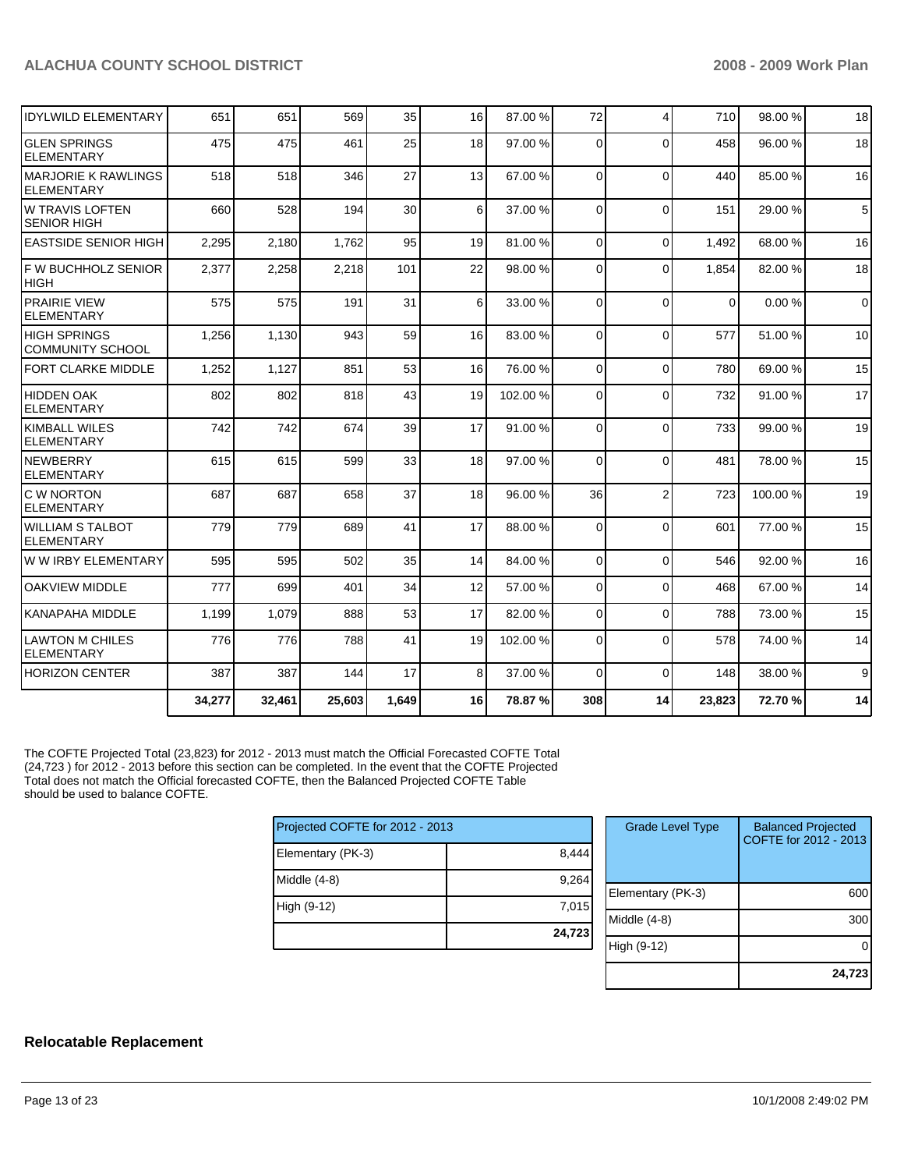| <b>GLEN SPRINGS</b><br><b>ELEMENTARY</b>        | 475    | 475    | 461    | 25    | 18 | 97.00 %  | $\Omega$    | $\Omega$       | 458      | 96.00 % | 18          |
|-------------------------------------------------|--------|--------|--------|-------|----|----------|-------------|----------------|----------|---------|-------------|
| <b>MARJORIE K RAWLINGS</b><br><b>ELEMENTARY</b> | 518    | 518    | 346    | 27    | 13 | 67.00 %  | $\Omega$    | $\Omega$       | 440      | 85.00 % | 16          |
| <b>W TRAVIS LOFTEN</b><br><b>SENIOR HIGH</b>    | 660    | 528    | 194    | 30    | 6  | 37.00 %  | $\Omega$    | $\Omega$       | 151      | 29.00 % | 5           |
| <b>LEASTSIDE SENIOR HIGH</b>                    | 2,295  | 2,180  | 1,762  | 95    | 19 | 81.00 %  | $\mathbf 0$ | $\Omega$       | 1,492    | 68.00 % | 16          |
| F W BUCHHOLZ SENIOR<br><b>HIGH</b>              | 2,377  | 2,258  | 2,218  | 101   | 22 | 98.00 %  | 0           | $\Omega$       | 1,854    | 82.00%  | 18          |
| <b>PRAIRIE VIEW</b><br><b>ELEMENTARY</b>        | 575    | 575    | 191    | 31    | 6  | 33.00 %  | $\Omega$    | $\Omega$       | $\Omega$ | 0.00%   | $\mathbf 0$ |
| <b>HIGH SPRINGS</b><br><b>COMMUNITY SCHOOL</b>  | 1,256  | 1,130  | 943    | 59    | 16 | 83.00 %  | $\Omega$    | $\Omega$       | 577      | 51.00 % | 10          |
| <b>FORT CLARKE MIDDLE</b>                       | 1,252  | 1,127  | 851    | 53    | 16 | 76.00 %  | $\Omega$    | $\Omega$       | 780      | 69.00 % | 15          |
| <b>HIDDEN OAK</b><br>ELEMENTARY                 | 802    | 802    | 818    | 43    | 19 | 102.00%  | 0           | $\Omega$       | 732      | 91.00 % | 17          |
| <b>KIMBALL WILES</b><br><b>ELEMENTARY</b>       | 742    | 742    | 674    | 39    | 17 | 91.00 %  | $\Omega$    | $\Omega$       | 733      | 99.00 % | 19          |
| NEWBERRY<br><b>ELEMENTARY</b>                   | 615    | 615    | 599    | 33    | 18 | 97.00 %  | $\Omega$    | $\Omega$       | 481      | 78.00 % | 15          |
| C W NORTON<br><b>ELEMENTARY</b>                 | 687    | 687    | 658    | 37    | 18 | 96.00 %  | 36          | $\overline{2}$ | 723      | 100.00% | 19          |
| <b>WILLIAM S TALBOT</b><br><b>ELEMENTARY</b>    | 779    | 779    | 689    | 41    | 17 | 88.00 %  | $\Omega$    | $\Omega$       | 601      | 77.00 % | 15          |
| W W IRBY ELEMENTARY                             | 595    | 595    | 502    | 35    | 14 | 84.00 %  | $\Omega$    | $\Omega$       | 546      | 92.00 % | 16          |
| <b>OAKVIEW MIDDLE</b>                           | 777    | 699    | 401    | 34    | 12 | 57.00 %  | 0           | $\Omega$       | 468      | 67.00%  | 14          |
| KANAPAHA MIDDLE                                 | 1,199  | 1,079  | 888    | 53    | 17 | 82.00 %  | $\Omega$    | $\Omega$       | 788      | 73.00 % | 15          |
| <b>LAWTON M CHILES</b><br><b>ELEMENTARY</b>     | 776    | 776    | 788    | 41    | 19 | 102.00 % | 0           | $\Omega$       | 578      | 74.00 % | 14          |
| <b>HORIZON CENTER</b>                           | 387    | 387    | 144    | 17    | 8  | 37.00 %  | $\Omega$    | $\Omega$       | 148      | 38.00 % | 9           |
|                                                 | 34,277 | 32,461 | 25,603 | 1,649 | 16 | 78.87 %  | 308         | 14             | 23,823   | 72.70%  | 14          |

The COFTE Projected Total (23,823) for 2012 - 2013 must match the Official Forecasted COFTE Total (24,723 ) for 2012 - 2013 before this section can be completed. In the event that the COFTE Projected Total does not match the Official forecasted COFTE, then the Balanced Projected COFTE Table should be used to balance COFTE.

| Projected COFTE for 2012 - 2013 |        |
|---------------------------------|--------|
| Elementary (PK-3)               | 8,444  |
| Middle $(4-8)$                  | 9,264  |
| High (9-12)                     | 7,015  |
|                                 | 24,723 |

| <b>Grade Level Type</b> | <b>Balanced Projected</b><br>COFTE for 2012 - 2013 |
|-------------------------|----------------------------------------------------|
| Elementary (PK-3)       | 60                                                 |
| Middle (4-8)            | 300                                                |
| High (9-12)             |                                                    |
|                         | 24,723                                             |

#### **Relocatable Replacement**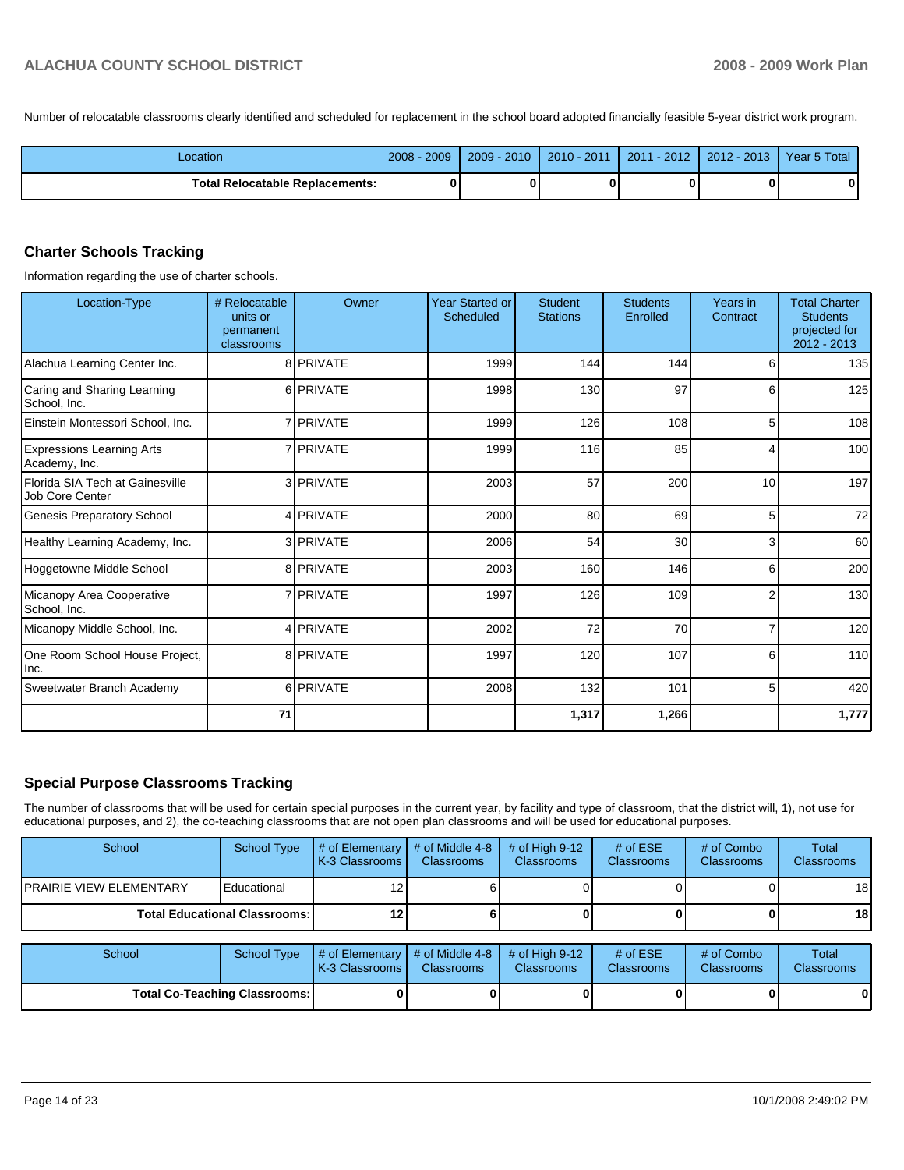Number of relocatable classrooms clearly identified and scheduled for replacement in the school board adopted financially feasible 5-year district work program.

| Location                                 | 2009<br>2008 | $2009 - 2010$ | 2010 - 2011 | 2011 - 2012 | 2012 - 2013 1 | Year 5 Total |
|------------------------------------------|--------------|---------------|-------------|-------------|---------------|--------------|
| <b>Total Relocatable Replacements: I</b> | 0            |               | 0           |             |               |              |

#### **Charter Schools Tracking**

Information regarding the use of charter schools.

| Location-Type                                      | # Relocatable<br>units or<br>permanent<br>classrooms | Owner            | <b>Year Started or</b><br>Scheduled | <b>Student</b><br><b>Stations</b> | <b>Students</b><br>Enrolled | Years in<br>Contract | <b>Total Charter</b><br><b>Students</b><br>projected for<br>2012 - 2013 |
|----------------------------------------------------|------------------------------------------------------|------------------|-------------------------------------|-----------------------------------|-----------------------------|----------------------|-------------------------------------------------------------------------|
| Alachua Learning Center Inc.                       |                                                      | 8 PRIVATE        | 1999                                | 144                               | 144                         | 6                    | 135                                                                     |
| Caring and Sharing Learning<br>School, Inc.        |                                                      | 6 PRIVATE        | 1998                                | 130                               | 97                          | 6                    | 125                                                                     |
| Einstein Montessori School, Inc.                   |                                                      | 7 <b>PRIVATE</b> | 1999                                | 126                               | 108                         | 5                    | 108                                                                     |
| <b>Expressions Learning Arts</b><br>Academy, Inc.  |                                                      | 7 <b>PRIVATE</b> | 1999                                | 116                               | 85                          | 4                    | 100                                                                     |
| Florida SIA Tech at Gainesville<br>Job Core Center |                                                      | 3 PRIVATE        | 2003                                | 57                                | 200                         | 10                   | 197                                                                     |
| Genesis Preparatory School                         |                                                      | 4 PRIVATE        | 2000                                | 80                                | 69                          | 5                    | 72                                                                      |
| Healthy Learning Academy, Inc.                     |                                                      | 3 PRIVATE        | 2006                                | 54                                | 30                          | 3                    | 60                                                                      |
| Hoggetowne Middle School                           |                                                      | 8 PRIVATE        | 2003                                | 160                               | 146                         | 6                    | 200                                                                     |
| Micanopy Area Cooperative<br>School, Inc.          |                                                      | 7 <b>PRIVATE</b> | 1997                                | 126                               | 109                         | $\overline{2}$       | 130                                                                     |
| Micanopy Middle School, Inc.                       |                                                      | 4 PRIVATE        | 2002                                | 72                                | 70                          | 7                    | 120                                                                     |
| One Room School House Project,<br>Inc.             |                                                      | 8 PRIVATE        | 1997                                | 120                               | 107                         | 6                    | 110                                                                     |
| Sweetwater Branch Academy                          |                                                      | 6 PRIVATE        | 2008                                | 132                               | 101                         | 5                    | 420                                                                     |
|                                                    | 71                                                   |                  |                                     | 1,317                             | 1,266                       |                      | 1,777                                                                   |

## **Special Purpose Classrooms Tracking**

The number of classrooms that will be used for certain special purposes in the current year, by facility and type of classroom, that the district will, 1), not use for educational purposes, and 2), the co-teaching classrooms that are not open plan classrooms and will be used for educational purposes.

| School                                 | <b>School Type</b>            | # of Elementary<br>K-3 Classrooms | # of Middle 4-8<br><b>Classrooms</b> | # of High $9-12$<br><b>Classrooms</b> | # of $ESE$<br>Classrooms | # of Combo<br><b>Classrooms</b> | Total<br><b>Classrooms</b> |
|----------------------------------------|-------------------------------|-----------------------------------|--------------------------------------|---------------------------------------|--------------------------|---------------------------------|----------------------------|
| IPRAIRIE VIEW ELEMENTARY               | Educational                   |                                   |                                      |                                       |                          |                                 | 18 <sup>1</sup>            |
| <b>Total Educational Classrooms: I</b> |                               |                                   |                                      |                                       |                          |                                 | 18 <sup>l</sup>            |
|                                        |                               |                                   |                                      |                                       |                          |                                 |                            |
| School                                 | <b>School Type</b>            | # of Elementary<br>K-3 Classrooms | # of Middle 4-8<br><b>Classrooms</b> | # of High $9-12$<br><b>Classrooms</b> | # of $ESE$<br>Classrooms | # of Combo<br><b>Classrooms</b> | Total<br><b>Classrooms</b> |
|                                        | Total Co-Teaching Classrooms: |                                   |                                      |                                       |                          |                                 | 01                         |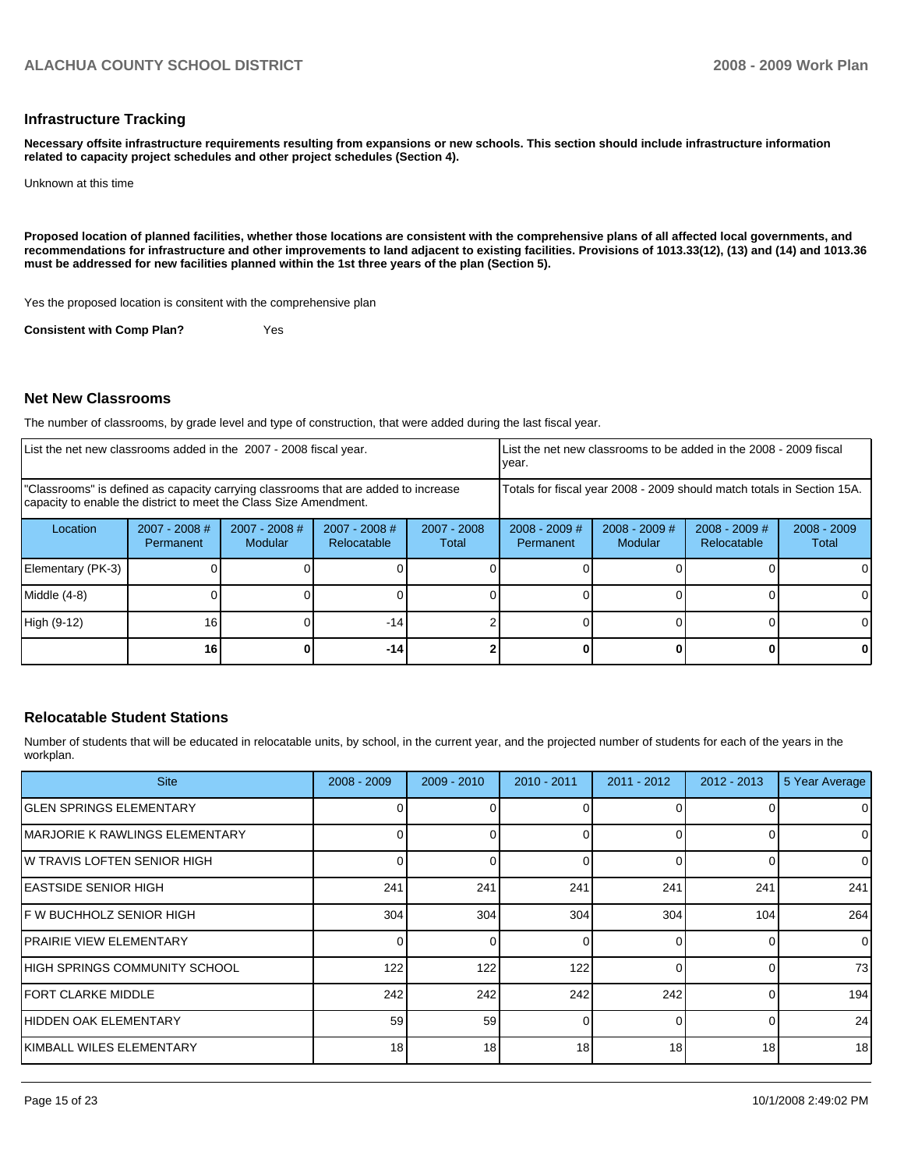#### **Infrastructure Tracking**

**Necessary offsite infrastructure requirements resulting from expansions or new schools. This section should include infrastructure information related to capacity project schedules and other project schedules (Section 4).**

Unknown at this time

**Proposed location of planned facilities, whether those locations are consistent with the comprehensive plans of all affected local governments, and recommendations for infrastructure and other improvements to land adjacent to existing facilities. Provisions of 1013.33(12), (13) and (14) and 1013.36 must be addressed for new facilities planned within the 1st three years of the plan (Section 5).**

Yes the proposed location is consitent with the comprehensive plan

**Consistent with Comp Plan?** Yes

#### **Net New Classrooms**

The number of classrooms, by grade level and type of construction, that were added during the last fiscal year.

| List the net new classrooms added in the 2007 - 2008 fiscal year.                                                                                       |                              |                                 | Ivear.                                                                 |                        | List the net new classrooms to be added in the 2008 - 2009 fiscal |                            |                                |                        |
|---------------------------------------------------------------------------------------------------------------------------------------------------------|------------------------------|---------------------------------|------------------------------------------------------------------------|------------------------|-------------------------------------------------------------------|----------------------------|--------------------------------|------------------------|
| "Classrooms" is defined as capacity carrying classrooms that are added to increase<br>capacity to enable the district to meet the Class Size Amendment. |                              |                                 | Totals for fiscal year 2008 - 2009 should match totals in Section 15A. |                        |                                                                   |                            |                                |                        |
| Location                                                                                                                                                | $2007 - 2008$ #<br>Permanent | 2007 - 2008 #<br><b>Modular</b> | 2007 - 2008 #<br>Relocatable                                           | $2007 - 2008$<br>Total | $2008 - 2009$ #<br>Permanent                                      | $2008 - 2009$ #<br>Modular | $2008 - 2009$ #<br>Relocatable | $2008 - 2009$<br>Total |
| Elementary (PK-3)                                                                                                                                       |                              |                                 |                                                                        |                        |                                                                   |                            |                                |                        |
| Middle (4-8)                                                                                                                                            |                              |                                 |                                                                        |                        |                                                                   |                            |                                |                        |
| High (9-12)                                                                                                                                             | 16                           |                                 | $-14$                                                                  |                        |                                                                   |                            |                                | ΩI                     |
|                                                                                                                                                         | 16                           |                                 | $-14$                                                                  |                        |                                                                   |                            |                                |                        |

#### **Relocatable Student Stations**

Number of students that will be educated in relocatable units, by school, in the current year, and the projected number of students for each of the years in the workplan.

| <b>Site</b>                     | $2008 - 2009$   | $2009 - 2010$ | $2010 - 2011$ | $2011 - 2012$ | $2012 - 2013$ | 5 Year Average |
|---------------------------------|-----------------|---------------|---------------|---------------|---------------|----------------|
| <b>IGLEN SPRINGS ELEMENTARY</b> |                 |               |               |               |               | 0              |
| IMARJORIE K RAWLINGS ELEMENTARY |                 |               |               |               | Ω             | $\mathbf 0$    |
| IW TRAVIS LOFTEN SENIOR HIGH    |                 |               |               |               | $\Omega$      | 0              |
| IEASTSIDE SENIOR HIGH           | 241             | 241           | 241           | 241           | 241           | 241            |
| IF W BUCHHOLZ SENIOR HIGH       | 304             | 304           | 304           | 304           | 104           | 264            |
| IPRAIRIE VIEW ELEMENTARY        |                 | 0             |               |               | $\Omega$      | 0              |
| IHIGH SPRINGS COMMUNITY SCHOOL  | 122             | 122           | 122           |               | O             | 73             |
| IFORT CLARKE MIDDLE             | 242             | 242           | 242           | 242           |               | 194            |
| IHIDDEN OAK ELEMENTARY          | 59              | 59            |               |               | O             | 24             |
| IKIMBALL WILES ELEMENTARY       | 18 <sup>1</sup> | 18            | 18            | 18            | 18            | 18             |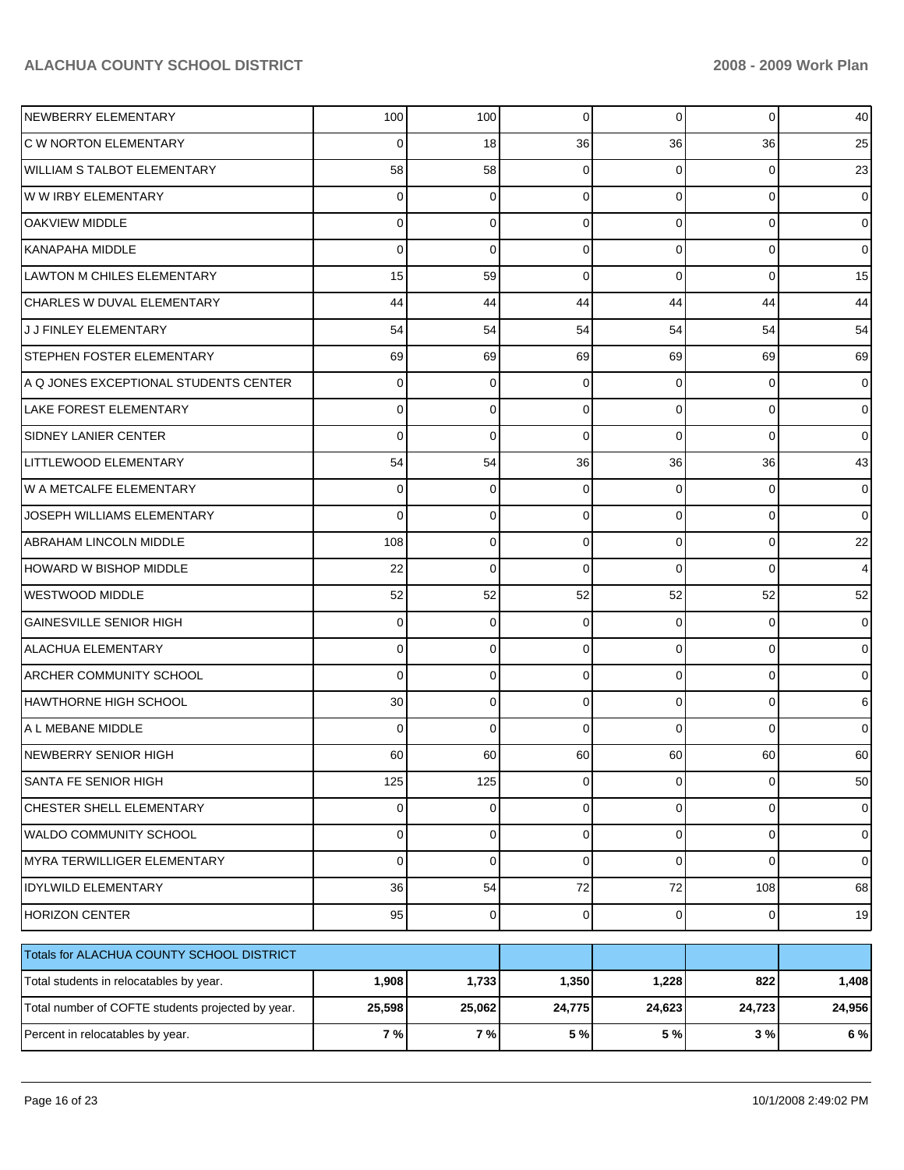| Percent in relocatables by year.                  | 7 %      | 7%          | 5 %            | 5 %            | 3%          | 6 %            |
|---------------------------------------------------|----------|-------------|----------------|----------------|-------------|----------------|
| Total number of COFTE students projected by year. | 25,598   | 25,062      | 24,775         | 24,623         | 24,723      | 24,956         |
| Total students in relocatables by year.           | 1,908    | 1,733       | 1,350          | 1,228          | 822         | 1,408          |
| Totals for ALACHUA COUNTY SCHOOL DISTRICT         |          |             |                |                |             |                |
| <b>HORIZON CENTER</b>                             | 95       | $\mathbf 0$ | $\mathbf 0$    | $\overline{0}$ | 0           | 19             |
| <b>IDYLWILD ELEMENTARY</b>                        | 36       | 54          | $72\,$         | 72             | 108         | 68             |
| <b>MYRA TERWILLIGER ELEMENTARY</b>                | 0        | $\mathbf 0$ | 0              | $\overline{0}$ | $\mathbf 0$ | $\overline{0}$ |
| WALDO COMMUNITY SCHOOL                            | 0        | 0           | 0              | $\overline{0}$ | 0           | $\overline{0}$ |
| CHESTER SHELL ELEMENTARY                          | $\Omega$ | 0           | 0              | $\overline{0}$ | 0           | $\overline{0}$ |
| SANTA FE SENIOR HIGH                              | 125      | 125         | $\overline{0}$ | $\overline{0}$ | $\pmb{0}$   | 50             |
| NEWBERRY SENIOR HIGH                              | 60       | 60          | 60             | 60             | 60          | 60             |
| A L MEBANE MIDDLE                                 | 0        | $\mathbf 0$ | 0              | $\Omega$       | 0           | 0              |
| IHAWTHORNE HIGH SCHOOL                            | 30       | 0           | 0              | $\Omega$       | 0           | 6              |
| <b>ARCHER COMMUNITY SCHOOL</b>                    | 0        | $\mathbf 0$ | 0              | $\Omega$       | $\mathbf 0$ | $\overline{0}$ |
| <b>ALACHUA ELEMENTARY</b>                         | 0        | $\mathbf 0$ | 0              | $\Omega$       | $\mathbf 0$ | $\overline{0}$ |
| <b>GAINESVILLE SENIOR HIGH</b>                    | 0        | 0           | 0              | $\Omega$       | 0           | $\overline{0}$ |
| <b>WESTWOOD MIDDLE</b>                            | 52       | 52          | 52             | 52             | 52          | 52             |
| HOWARD W BISHOP MIDDLE                            | 22       | $\mathbf 0$ | 0              | $\Omega$       | $\mathbf 0$ | $\overline{4}$ |
| ABRAHAM LINCOLN MIDDLE                            | 108      | 0           | 0              | $\Omega$       | $\mathbf 0$ | 22             |
| JOSEPH WILLIAMS ELEMENTARY                        | 0        | 0           | 0              | $\Omega$       | 0           | $\overline{0}$ |
| W A METCALFE ELEMENTARY                           | 0        | 0           | 0              | $\Omega$       | 0           | $\overline{0}$ |
| LITTLEWOOD ELEMENTARY                             | 54       | 54          | 36             | 36             | 36          | 43             |
| <b>SIDNEY LANIER CENTER</b>                       | 0        | $\mathbf 0$ | 0              | $\Omega$       | $\mathbf 0$ | $\overline{0}$ |
| <b>LAKE FOREST ELEMENTARY</b>                     | 0        | 0           | 0              | $\Omega$       | 0           | $\overline{0}$ |
| A Q JONES EXCEPTIONAL STUDENTS CENTER             | 0        | 0           | 0              | $\Omega$       | 0           | $\overline{0}$ |
| STEPHEN FOSTER ELEMENTARY                         | 69       | 69          | 69             | 69             | 69          | 69             |
| J J FINLEY ELEMENTARY                             | 54       | 54          | 54             | 54             | 54          | 54             |
| CHARLES W DUVAL ELEMENTARY                        | 44       | 44          | 44             | 44             | 44          | 44             |
| LAWTON M CHILES ELEMENTARY                        | 15       | 59          | 0              | $\Omega$       | $\mathbf 0$ | 15             |
| <b>KANAPAHA MIDDLE</b>                            | 0        | $\mathbf 0$ | 0              | $\Omega$       | 0           | $\overline{0}$ |
| <b>OAKVIEW MIDDLE</b>                             | 0        | 0           | 0              | $\Omega$       | $\mathbf 0$ | $\overline{0}$ |
| W W IRBY ELEMENTARY                               | 0        | 0           | 0              | $\Omega$       | 0           | $\overline{0}$ |
| <b>WILLIAM S TALBOT ELEMENTARY</b>                | 58       | 58          | 0              | $\Omega$       | 0           | 23             |
| C W NORTON ELEMENTARY                             | 0        | 18          | 36             | 36             | 36          | 25             |
| NEWBERRY ELEMENTARY                               | 100      | 100         | 0              | $\overline{0}$ | 0           | 40             |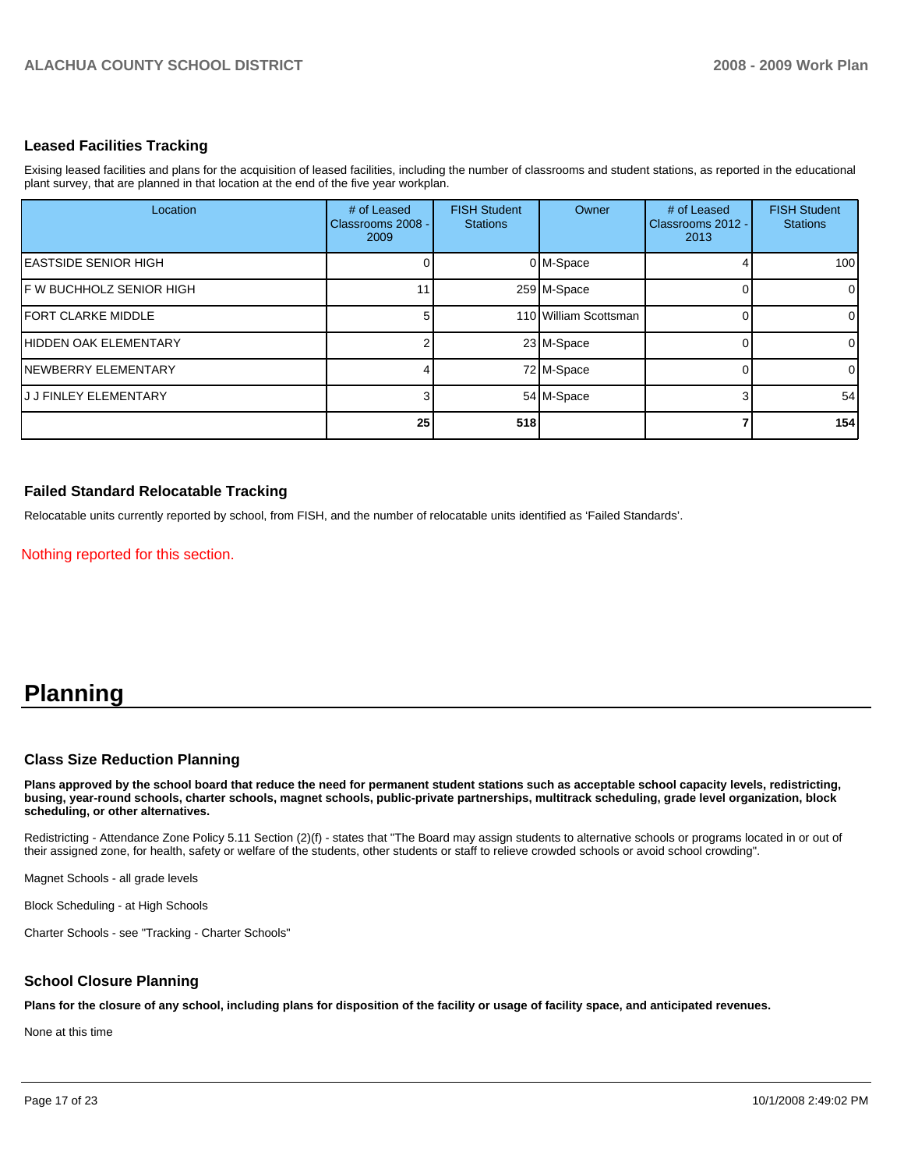#### **Leased Facilities Tracking**

Exising leased facilities and plans for the acquisition of leased facilities, including the number of classrooms and student stations, as reported in the educational plant survey, that are planned in that location at the end of the five year workplan.

| Location                     | # of Leased<br>Classrooms 2008 -<br>2009 | <b>FISH Student</b><br><b>Stations</b> | Owner                 | # of Leased<br>Classrooms 2012 -<br>2013 | <b>FISH Student</b><br><b>Stations</b> |
|------------------------------|------------------------------------------|----------------------------------------|-----------------------|------------------------------------------|----------------------------------------|
| <b>IEASTSIDE SENIOR HIGH</b> |                                          |                                        | 0 M-Space             |                                          | 100                                    |
| IF W BUCHHOLZ SENIOR HIGH    |                                          |                                        | 259 M-Space           |                                          | 0                                      |
| <b>IFORT CLARKE MIDDLE</b>   |                                          |                                        | 110 William Scottsman |                                          | 0                                      |
| <b>HIDDEN OAK ELEMENTARY</b> |                                          |                                        | 23 M-Space            |                                          | 0                                      |
| <b>INEWBERRY ELEMENTARY</b>  |                                          |                                        | 72 M-Space            |                                          | 0                                      |
| IJ J FINLEY ELEMENTARY       |                                          |                                        | 54 M-Space            |                                          | 54                                     |
|                              | 25                                       | 518                                    |                       |                                          | 154                                    |

#### **Failed Standard Relocatable Tracking**

Relocatable units currently reported by school, from FISH, and the number of relocatable units identified as 'Failed Standards'.

Nothing reported for this section.

# **Planning**

#### **Class Size Reduction Planning**

**Plans approved by the school board that reduce the need for permanent student stations such as acceptable school capacity levels, redistricting, busing, year-round schools, charter schools, magnet schools, public-private partnerships, multitrack scheduling, grade level organization, block scheduling, or other alternatives.**

Redistricting - Attendance Zone Policy 5.11 Section (2)(f) - states that "The Board may assign students to alternative schools or programs located in or out of their assigned zone, for health, safety or welfare of the students, other students or staff to relieve crowded schools or avoid school crowding".

Magnet Schools - all grade levels

Block Scheduling - at High Schools

Charter Schools - see "Tracking - Charter Schools"

#### **School Closure Planning**

**Plans for the closure of any school, including plans for disposition of the facility or usage of facility space, and anticipated revenues.**

None at this time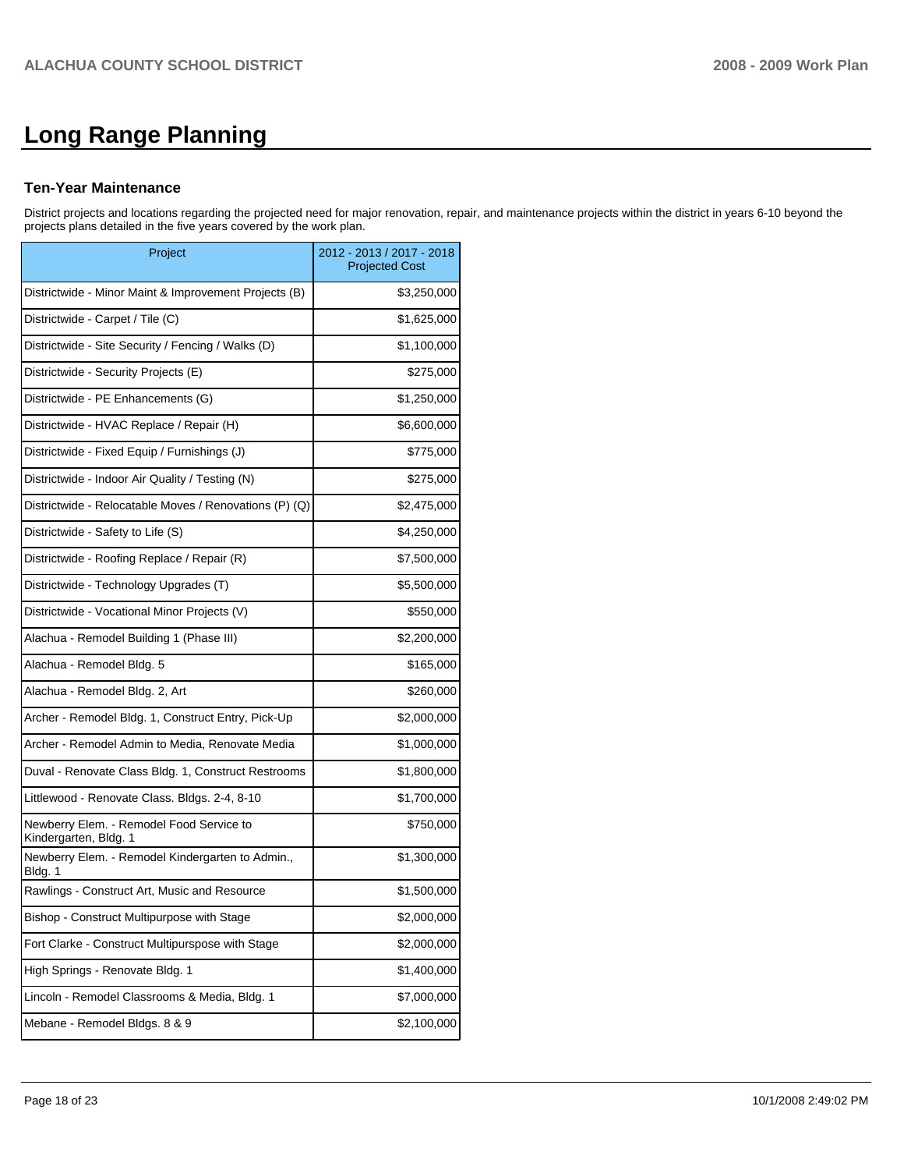# **Long Range Planning**

#### **Ten-Year Maintenance**

District projects and locations regarding the projected need for major renovation, repair, and maintenance projects within the district in years 6-10 beyond the projects plans detailed in the five years covered by the work plan.

| Project                                                           | 2012 - 2013 / 2017 - 2018<br><b>Projected Cost</b> |
|-------------------------------------------------------------------|----------------------------------------------------|
| Districtwide - Minor Maint & Improvement Projects (B)             | \$3,250,000                                        |
| Districtwide - Carpet / Tile (C)                                  | \$1,625,000                                        |
| Districtwide - Site Security / Fencing / Walks (D)                | \$1,100,000                                        |
| Districtwide - Security Projects (E)                              | \$275,000                                          |
| Districtwide - PE Enhancements (G)                                | \$1,250,000                                        |
| Districtwide - HVAC Replace / Repair (H)                          | \$6,600,000                                        |
| Districtwide - Fixed Equip / Furnishings (J)                      | \$775,000                                          |
| Districtwide - Indoor Air Quality / Testing (N)                   | \$275,000                                          |
| Districtwide - Relocatable Moves / Renovations (P) (Q)            | \$2,475,000                                        |
| Districtwide - Safety to Life (S)                                 | \$4,250,000                                        |
| Districtwide - Roofing Replace / Repair (R)                       | \$7,500,000                                        |
| Districtwide - Technology Upgrades (T)                            | \$5,500,000                                        |
| Districtwide - Vocational Minor Projects (V)                      | \$550,000                                          |
| Alachua - Remodel Building 1 (Phase III)                          | \$2,200,000                                        |
| Alachua - Remodel Bldg. 5                                         | \$165,000                                          |
| Alachua - Remodel Bldg. 2, Art                                    | \$260,000                                          |
| Archer - Remodel Bldg. 1, Construct Entry, Pick-Up                | \$2,000,000                                        |
| Archer - Remodel Admin to Media, Renovate Media                   | \$1,000,000                                        |
| Duval - Renovate Class Bldg. 1, Construct Restrooms               | \$1,800,000                                        |
| Littlewood - Renovate Class. Bldgs. 2-4, 8-10                     | \$1,700,000                                        |
| Newberry Elem. - Remodel Food Service to<br>Kindergarten, Bldg. 1 | \$750,000                                          |
| Newberry Elem. - Remodel Kindergarten to Admin.,<br>Bldg. 1       | \$1,300,000                                        |
| Rawlings - Construct Art, Music and Resource                      | \$1,500,000                                        |
| Bishop - Construct Multipurpose with Stage                        | \$2,000,000                                        |
| Fort Clarke - Construct Multipurspose with Stage                  | \$2,000,000                                        |
| High Springs - Renovate Bldg. 1                                   | \$1,400,000                                        |
| Lincoln - Remodel Classrooms & Media, Bldg. 1                     | \$7,000,000                                        |
| Mebane - Remodel Bldgs. 8 & 9                                     | \$2,100,000                                        |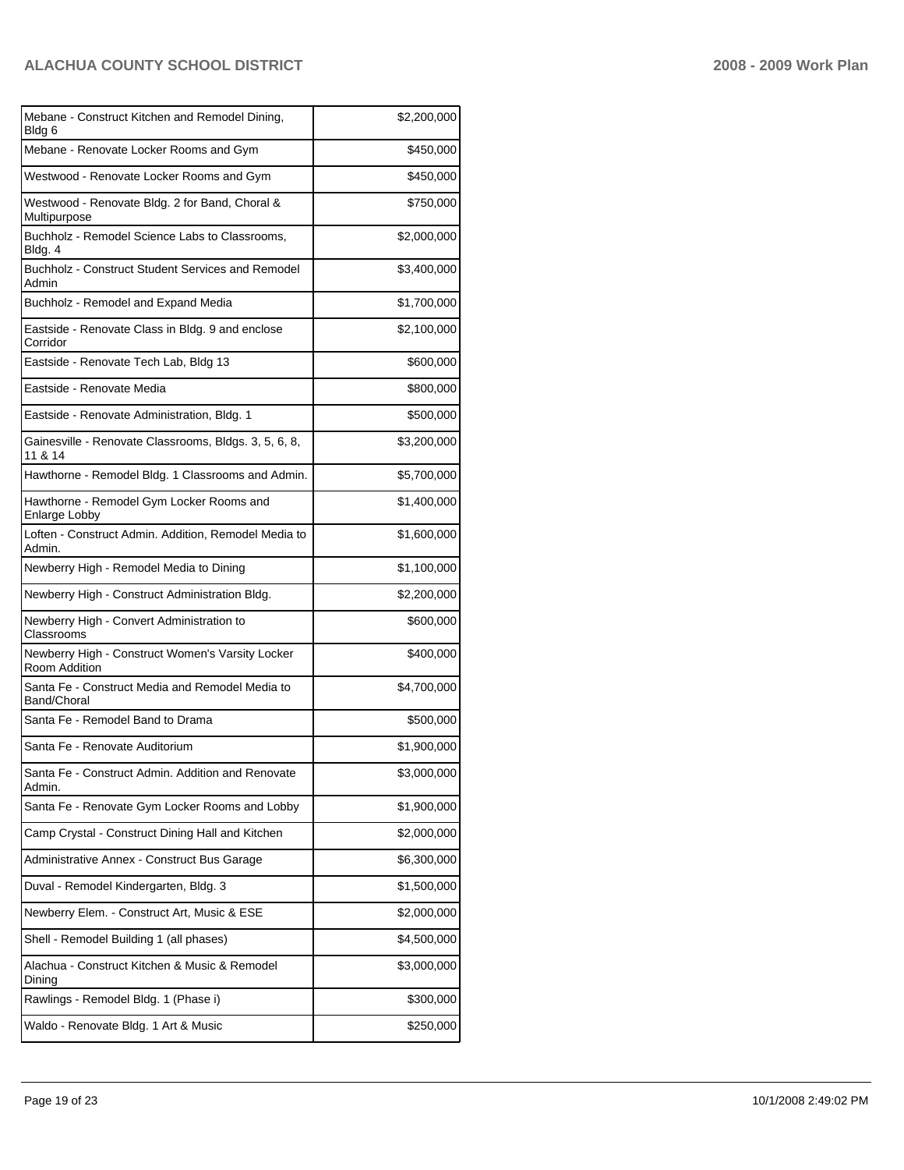| Mebane - Construct Kitchen and Remodel Dining,<br>Bldg 6          | \$2,200,000 |
|-------------------------------------------------------------------|-------------|
| Mebane - Renovate Locker Rooms and Gym                            | \$450,000   |
| Westwood - Renovate Locker Rooms and Gym                          | \$450,000   |
| Westwood - Renovate Bldg. 2 for Band, Choral &<br>Multipurpose    | \$750,000   |
| Buchholz - Remodel Science Labs to Classrooms,<br>Bldg. 4         | \$2,000,000 |
| Buchholz - Construct Student Services and Remodel<br>Admin        | \$3,400,000 |
| Buchholz - Remodel and Expand Media                               | \$1,700,000 |
| Eastside - Renovate Class in Bldg. 9 and enclose<br>Corridor      | \$2,100,000 |
| Eastside - Renovate Tech Lab, Bldg 13                             | \$600,000   |
| Eastside - Renovate Media                                         | \$800,000   |
| Eastside - Renovate Administration, Bldg. 1                       | \$500,000   |
| Gainesville - Renovate Classrooms, Bldgs. 3, 5, 6, 8,<br>11 & 14  | \$3,200,000 |
| Hawthorne - Remodel Bldg. 1 Classrooms and Admin.                 | \$5,700,000 |
| Hawthorne - Remodel Gym Locker Rooms and<br>Enlarge Lobby         | \$1,400,000 |
| Loften - Construct Admin. Addition, Remodel Media to<br>Admin.    | \$1,600,000 |
| Newberry High - Remodel Media to Dining                           | \$1,100,000 |
| Newberry High - Construct Administration Bldg.                    | \$2,200,000 |
| Newberry High - Convert Administration to<br>Classrooms           | \$600,000   |
| Newberry High - Construct Women's Varsity Locker<br>Room Addition | \$400,000   |
| Santa Fe - Construct Media and Remodel Media to<br>Band/Choral    | \$4,700,000 |
| Santa Fe - Remodel Band to Drama                                  | \$500,000   |
| Santa Fe - Renovate Auditorium                                    | \$1,900,000 |
| Santa Fe - Construct Admin. Addition and Renovate<br>Admin.       | \$3,000,000 |
| Santa Fe - Renovate Gym Locker Rooms and Lobby                    | \$1,900,000 |
| Camp Crystal - Construct Dining Hall and Kitchen                  | \$2,000,000 |
| Administrative Annex - Construct Bus Garage                       | \$6,300,000 |
| Duval - Remodel Kindergarten, Bldg. 3                             | \$1,500,000 |
| Newberry Elem. - Construct Art, Music & ESE                       | \$2,000,000 |
| Shell - Remodel Building 1 (all phases)                           | \$4,500,000 |
| Alachua - Construct Kitchen & Music & Remodel<br>Dining           | \$3,000,000 |
| Rawlings - Remodel Bldg. 1 (Phase i)                              | \$300,000   |
| Waldo - Renovate Bldg. 1 Art & Music                              | \$250,000   |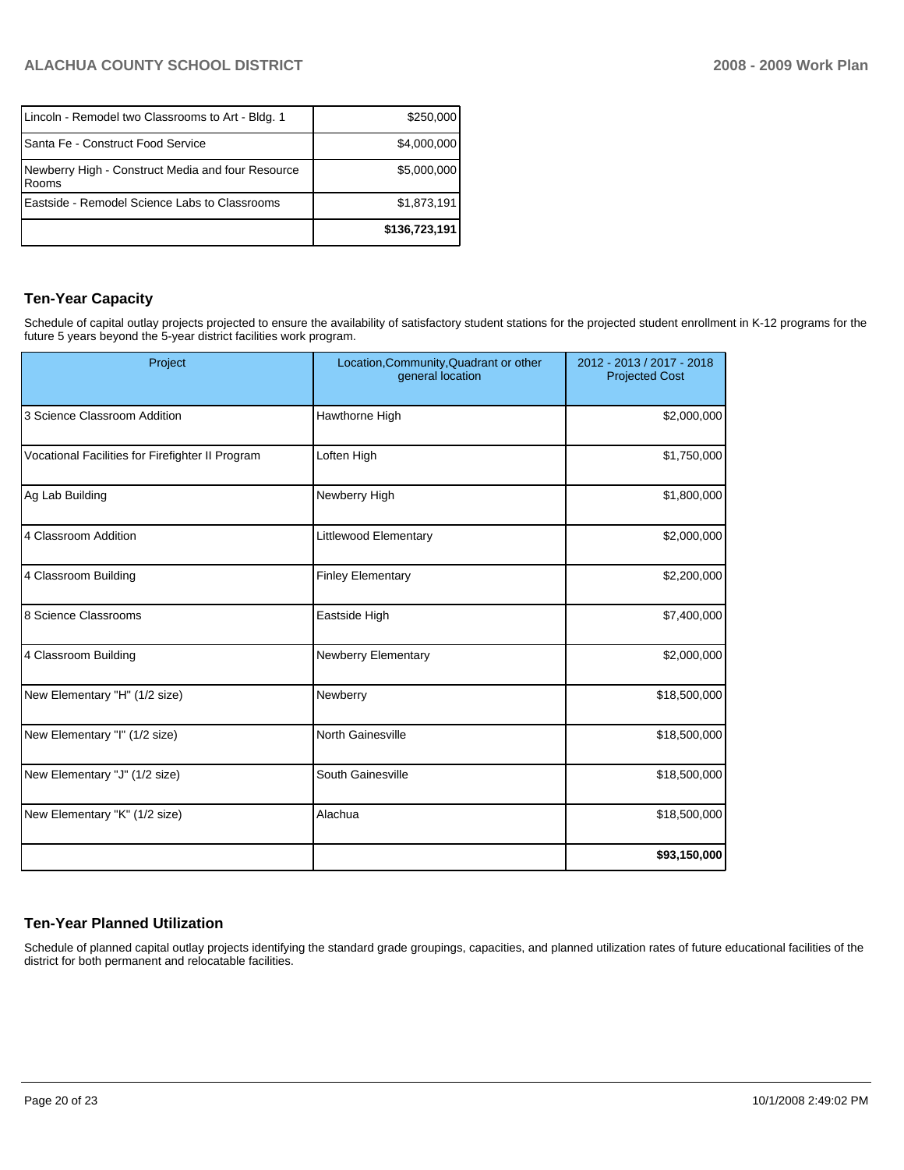| Lincoln - Remodel two Classrooms to Art - Bldg. 1            | \$250,000     |
|--------------------------------------------------------------|---------------|
| Santa Fe - Construct Food Service                            | \$4,000,000   |
| Newberry High - Construct Media and four Resource<br>l Rooms | \$5,000,000   |
| Eastside - Remodel Science Labs to Classrooms                | \$1,873,191   |
|                                                              | \$136,723,191 |

## **Ten-Year Capacity**

Schedule of capital outlay projects projected to ensure the availability of satisfactory student stations for the projected student enrollment in K-12 programs for the future 5 years beyond the 5-year district facilities work program.

| Project                                          | Location, Community, Quadrant or other<br>general location | 2012 - 2013 / 2017 - 2018<br><b>Projected Cost</b> |  |
|--------------------------------------------------|------------------------------------------------------------|----------------------------------------------------|--|
| 3 Science Classroom Addition                     | Hawthorne High                                             | \$2,000,000                                        |  |
| Vocational Facilities for Firefighter II Program | Loften High                                                | \$1,750,000                                        |  |
| Ag Lab Building                                  | Newberry High                                              | \$1,800,000                                        |  |
| 4 Classroom Addition                             | Littlewood Elementary                                      | \$2,000,000                                        |  |
| 4 Classroom Building                             | <b>Finley Elementary</b>                                   | \$2,200,000                                        |  |
| 8 Science Classrooms                             | Eastside High                                              | \$7,400,000                                        |  |
| 4 Classroom Building                             | Newberry Elementary                                        | \$2,000,000                                        |  |
| New Elementary "H" (1/2 size)                    | Newberry                                                   | \$18,500,000                                       |  |
| New Elementary "I" (1/2 size)                    | North Gainesville                                          | \$18,500,000                                       |  |
| New Elementary "J" (1/2 size)                    | South Gainesville                                          | \$18,500,000                                       |  |
| New Elementary "K" (1/2 size)                    | Alachua                                                    | \$18,500,000                                       |  |
|                                                  |                                                            | \$93,150,000                                       |  |

# **Ten-Year Planned Utilization**

Schedule of planned capital outlay projects identifying the standard grade groupings, capacities, and planned utilization rates of future educational facilities of the district for both permanent and relocatable facilities.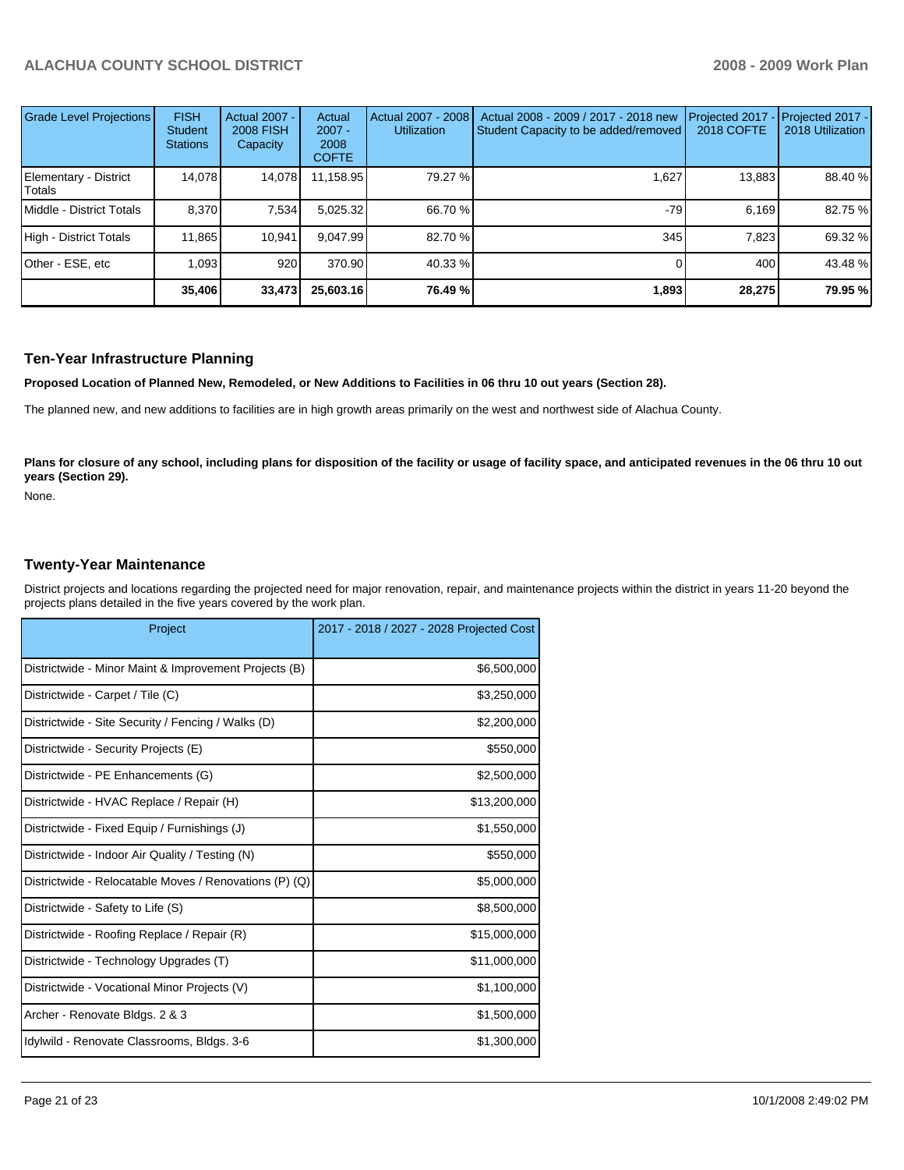| Grade Level Projections         | <b>FISH</b><br><b>Student</b><br><b>Stations</b> | <b>Actual 2007 -</b><br><b>2008 FISH</b><br>Capacity | Actual<br>$2007 -$<br>2008<br><b>COFTE</b> | Actual 2007 - 2008<br><b>Utilization</b> | Actual 2008 - 2009 / 2017 - 2018 new<br>Student Capacity to be added/removed | Projected 2017<br>2018 COFTE | $-$ Projected 2017 -<br>2018 Utilization |
|---------------------------------|--------------------------------------------------|------------------------------------------------------|--------------------------------------------|------------------------------------------|------------------------------------------------------------------------------|------------------------------|------------------------------------------|
| Elementary - District<br>Totals | 14.078                                           | 14,078                                               | 11,158.95                                  | 79.27 %                                  | 1,627                                                                        | 13,883                       | 88.40 %                                  |
| Middle - District Totals        | 8.370                                            | 7,534                                                | 5,025.32                                   | 66.70 %                                  | $-79$                                                                        | 6.169                        | 82.75 %                                  |
| High - District Totals          | 11.865                                           | 10.941                                               | 9.047.99                                   | 82.70 %                                  | 345                                                                          | 7.823                        | 69.32 %                                  |
| Other - ESE, etc                | 1.093                                            | 920                                                  | 370.90                                     | $40.33\%$                                |                                                                              | 400                          | 43.48 %                                  |
|                                 | 35,406                                           | 33,473                                               | 25,603.16                                  | 76.49 %                                  | 1,893                                                                        | 28,275                       | 79.95 %                                  |

#### **Ten-Year Infrastructure Planning**

**Proposed Location of Planned New, Remodeled, or New Additions to Facilities in 06 thru 10 out years (Section 28).**

The planned new, and new additions to facilities are in high growth areas primarily on the west and northwest side of Alachua County.

Plans for closure of any school, including plans for disposition of the facility or usage of facility space, and anticipated revenues in the 06 thru 10 out **years (Section 29).**

None.

#### **Twenty-Year Maintenance**

District projects and locations regarding the projected need for major renovation, repair, and maintenance projects within the district in years 11-20 beyond the projects plans detailed in the five years covered by the work plan.

| Project                                                | 2017 - 2018 / 2027 - 2028 Projected Cost |
|--------------------------------------------------------|------------------------------------------|
| Districtwide - Minor Maint & Improvement Projects (B)  | \$6,500,000                              |
| Districtwide - Carpet / Tile (C)                       | \$3,250,000                              |
| Districtwide - Site Security / Fencing / Walks (D)     | \$2,200,000                              |
| Districtwide - Security Projects (E)                   | \$550,000                                |
| Districtwide - PE Enhancements (G)                     | \$2,500,000                              |
| Districtwide - HVAC Replace / Repair (H)               | \$13,200,000                             |
| Districtwide - Fixed Equip / Furnishings (J)           | \$1,550,000                              |
| Districtwide - Indoor Air Quality / Testing (N)        | \$550,000                                |
| Districtwide - Relocatable Moves / Renovations (P) (Q) | \$5,000,000                              |
| Districtwide - Safety to Life (S)                      | \$8,500,000                              |
| Districtwide - Roofing Replace / Repair (R)            | \$15,000,000                             |
| Districtwide - Technology Upgrades (T)                 | \$11,000,000                             |
| Districtwide - Vocational Minor Projects (V)           | \$1,100,000                              |
| Archer - Renovate Bldgs. 2 & 3                         | \$1,500,000                              |
| Idylwild - Renovate Classrooms, Bldgs. 3-6             | \$1,300,000                              |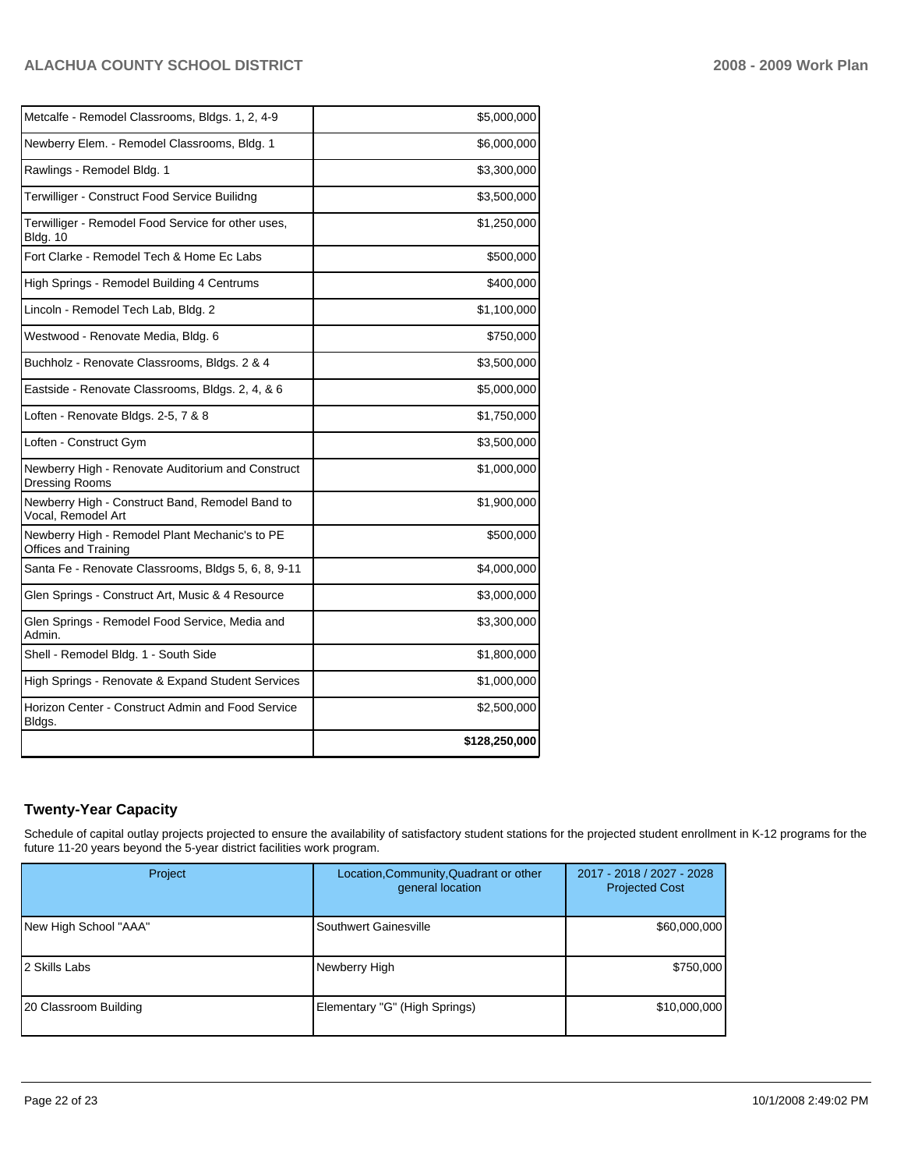| Metcalfe - Remodel Classrooms, Bldgs. 1, 2, 4-9                            | \$5,000,000   |
|----------------------------------------------------------------------------|---------------|
| Newberry Elem. - Remodel Classrooms, Bldg. 1                               | \$6,000,000   |
| Rawlings - Remodel Bldg. 1                                                 | \$3,300,000   |
| Terwilliger - Construct Food Service Builidng                              | \$3,500,000   |
| Terwilliger - Remodel Food Service for other uses,<br><b>Bldg. 10</b>      | \$1,250,000   |
| Fort Clarke - Remodel Tech & Home Ec Labs                                  | \$500,000     |
| High Springs - Remodel Building 4 Centrums                                 | \$400,000     |
| Lincoln - Remodel Tech Lab, Bldg. 2                                        | \$1,100,000   |
| Westwood - Renovate Media, Bldg. 6                                         | \$750,000     |
| Buchholz - Renovate Classrooms, Bldgs. 2 & 4                               | \$3,500,000   |
| Eastside - Renovate Classrooms, Bldgs. 2, 4, & 6                           | \$5,000,000   |
| Loften - Renovate Bldgs. 2-5, 7 & 8                                        | \$1,750,000   |
| Loften - Construct Gym                                                     | \$3,500,000   |
| Newberry High - Renovate Auditorium and Construct<br><b>Dressing Rooms</b> | \$1,000,000   |
| Newberry High - Construct Band, Remodel Band to<br>Vocal. Remodel Art      | \$1,900,000   |
| Newberry High - Remodel Plant Mechanic's to PE<br>Offices and Training     | \$500,000     |
| Santa Fe - Renovate Classrooms, Bldgs 5, 6, 8, 9-11                        | \$4,000,000   |
| Glen Springs - Construct Art, Music & 4 Resource                           | \$3,000,000   |
| Glen Springs - Remodel Food Service, Media and<br>Admin.                   | \$3,300,000   |
| Shell - Remodel Bldg. 1 - South Side                                       | \$1,800,000   |
| High Springs - Renovate & Expand Student Services                          | \$1,000,000   |
| Horizon Center - Construct Admin and Food Service<br>Bldgs.                | \$2,500,000   |
|                                                                            | \$128,250,000 |

# **Twenty-Year Capacity**

Schedule of capital outlay projects projected to ensure the availability of satisfactory student stations for the projected student enrollment in K-12 programs for the future 11-20 years beyond the 5-year district facilities work program.

| Project               | Location, Community, Quadrant or other<br>general location | 2017 - 2018 / 2027 - 2028<br><b>Projected Cost</b> |
|-----------------------|------------------------------------------------------------|----------------------------------------------------|
| New High School "AAA" | Southwert Gainesville                                      | \$60,000,000                                       |
| 12 Skills Labs        | Newberry High                                              | \$750,000                                          |
| 20 Classroom Building | Elementary "G" (High Springs)                              | \$10,000,000                                       |